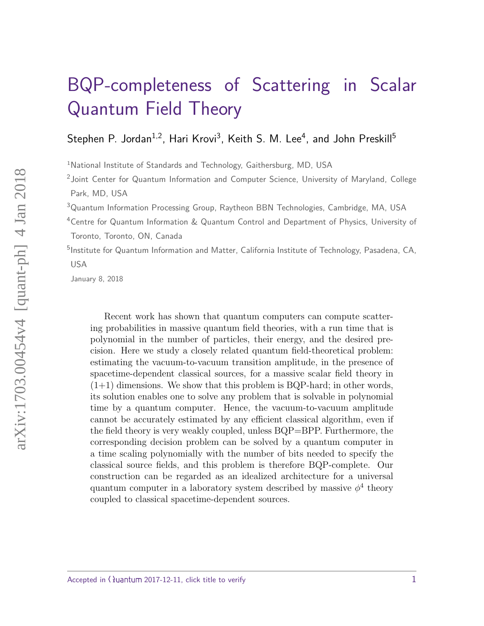# [BQP-completeness of Scattering in Scalar](http://quantum-journal.org/?s=BQP-completeness%20of%20Scattering%20in%20Scalar%20Quantum%20Field%20Theory) Quantum Field Theory

Stephen P. Jordan $^{1,2}$ , Hari Krovi $^3$ , Keith S. M. Lee $^4$ , and John Preskill $^5$ 

<sup>1</sup>National Institute of Standards and Technology, Gaithersburg, MD, USA

<sup>2</sup> Joint Center for Quantum Information and Computer Science, University of Maryland, College Park, MD, USA

<sup>3</sup>Quantum Information Processing Group, Raytheon BBN Technologies, Cambridge, MA, USA

<sup>4</sup>Centre for Quantum Information & Quantum Control and Department of Physics, University of Toronto, Toronto, ON, Canada

<sup>5</sup>Institute for Quantum Information and Matter, California Institute of Technology, Pasadena, CA, USA

January 8, 2018

Recent work has shown that quantum computers can compute scattering probabilities in massive quantum field theories, with a run time that is polynomial in the number of particles, their energy, and the desired precision. Here we study a closely related quantum field-theoretical problem: estimating the vacuum-to-vacuum transition amplitude, in the presence of spacetime-dependent classical sources, for a massive scalar field theory in  $(1+1)$  dimensions. We show that this problem is BQP-hard; in other words, its solution enables one to solve any problem that is solvable in polynomial time by a quantum computer. Hence, the vacuum-to-vacuum amplitude cannot be accurately estimated by any efficient classical algorithm, even if the field theory is very weakly coupled, unless BQP=BPP. Furthermore, the corresponding decision problem can be solved by a quantum computer in a time scaling polynomially with the number of bits needed to specify the classical source fields, and this problem is therefore BQP-complete. Our construction can be regarded as an idealized architecture for a universal quantum computer in a laboratory system described by massive  $\phi^4$  theory coupled to classical spacetime-dependent sources.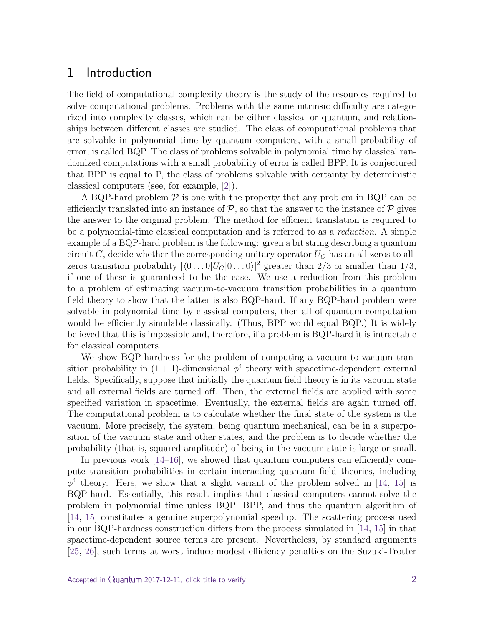# 1 Introduction

The field of computational complexity theory is the study of the resources required to solve computational problems. Problems with the same intrinsic difficulty are categorized into complexity classes, which can be either classical or quantum, and relationships between different classes are studied. The class of computational problems that are solvable in polynomial time by quantum computers, with a small probability of error, is called BQP. The class of problems solvable in polynomial time by classical randomized computations with a small probability of error is called BPP. It is conjectured that BPP is equal to P, the class of problems solvable with certainty by deterministic classical computers (see, for example, [\[2\]](#page-38-0)).

A BQP-hard problem  $\mathcal P$  is one with the property that any problem in BQP can be efficiently translated into an instance of  $\mathcal{P}$ , so that the answer to the instance of  $\mathcal{P}$  gives the answer to the original problem. The method for efficient translation is required to be a polynomial-time classical computation and is referred to as a *reduction*. A simple example of a BQP-hard problem is the following: given a bit string describing a quantum circuit *C*, decide whether the corresponding unitary operator *U<sup>C</sup>* has an all-zeros to allzeros transition probability  $|\langle 0 \dots 0 | U_C | 0 \dots 0 \rangle|^2$  greater than 2/3 or smaller than 1/3, if one of these is guaranteed to be the case. We use a reduction from this problem to a problem of estimating vacuum-to-vacuum transition probabilities in a quantum field theory to show that the latter is also BQP-hard. If any BQP-hard problem were solvable in polynomial time by classical computers, then all of quantum computation would be efficiently simulable classically. (Thus, BPP would equal BQP.) It is widely believed that this is impossible and, therefore, if a problem is BQP-hard it is intractable for classical computers.

We show BQP-hardness for the problem of computing a vacuum-to-vacuum transition probability in  $(1 + 1)$ -dimensional  $\phi^4$  theory with spacetime-dependent external fields. Specifically, suppose that initially the quantum field theory is in its vacuum state and all external fields are turned off. Then, the external fields are applied with some specified variation in spacetime. Eventually, the external fields are again turned off. The computational problem is to calculate whether the final state of the system is the vacuum. More precisely, the system, being quantum mechanical, can be in a superposition of the vacuum state and other states, and the problem is to decide whether the probability (that is, squared amplitude) of being in the vacuum state is large or small.

In previous work [\[14](#page-39-0)[–16\]](#page-39-1), we showed that quantum computers can efficiently compute transition probabilities in certain interacting quantum field theories, including  $\phi^4$  theory. Here, we show that a slight variant of the problem solved in [\[14,](#page-39-0) [15\]](#page-39-2) is BQP-hard. Essentially, this result implies that classical computers cannot solve the problem in polynomial time unless BQP=BPP, and thus the quantum algorithm of [\[14,](#page-39-0) [15\]](#page-39-2) constitutes a genuine superpolynomial speedup. The scattering process used in our BQP-hardness construction differs from the process simulated in [\[14,](#page-39-0) [15\]](#page-39-2) in that spacetime-dependent source terms are present. Nevertheless, by standard arguments [\[25,](#page-40-0) [26\]](#page-40-1), such terms at worst induce modest efficiency penalties on the Suzuki-Trotter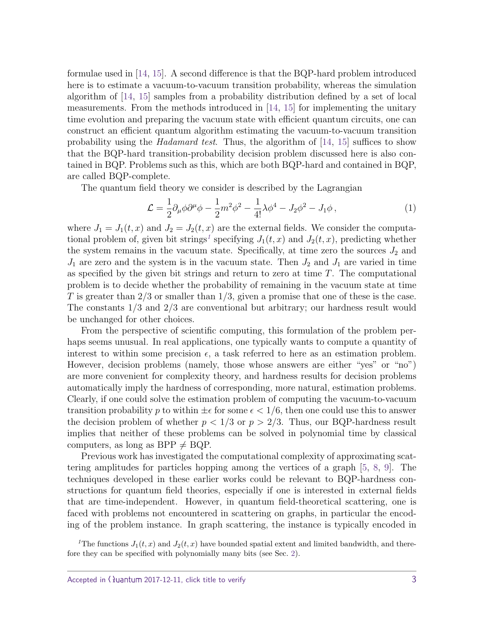formulae used in [\[14,](#page-39-0) [15\]](#page-39-2). A second difference is that the BQP-hard problem introduced here is to estimate a vacuum-to-vacuum transition probability, whereas the simulation algorithm of [\[14,](#page-39-0) [15\]](#page-39-2) samples from a probability distribution defined by a set of local measurements. From the methods introduced in [\[14,](#page-39-0) [15\]](#page-39-2) for implementing the unitary time evolution and preparing the vacuum state with efficient quantum circuits, one can construct an efficient quantum algorithm estimating the vacuum-to-vacuum transition probability using the *Hadamard test*. Thus, the algorithm of  $[14, 15]$  $[14, 15]$  $[14, 15]$  suffices to show that the BQP-hard transition-probability decision problem discussed here is also contained in BQP. Problems such as this, which are both BQP-hard and contained in BQP, are called BQP-complete.

The quantum field theory we consider is described by the Lagrangian

$$
\mathcal{L} = \frac{1}{2} \partial_{\mu} \phi \partial^{\mu} \phi - \frac{1}{2} m^2 \phi^2 - \frac{1}{4!} \lambda \phi^4 - J_2 \phi^2 - J_1 \phi \,, \tag{1}
$$

where  $J_1 = J_1(t, x)$  and  $J_2 = J_2(t, x)$  are the external fields. We consider the computa-tional problem of, given bit strings<sup>[1](#page-2-0)</sup> specifying  $J_1(t, x)$  and  $J_2(t, x)$ , predicting whether the system remains in the vacuum state. Specifically, at time zero the sources  $J_2$  and  $J_1$  are zero and the system is in the vacuum state. Then  $J_2$  and  $J_1$  are varied in time as specified by the given bit strings and return to zero at time *T*. The computational problem is to decide whether the probability of remaining in the vacuum state at time *T* is greater than 2*/*3 or smaller than 1*/*3, given a promise that one of these is the case. The constants 1*/*3 and 2*/*3 are conventional but arbitrary; our hardness result would be unchanged for other choices.

From the perspective of scientific computing, this formulation of the problem perhaps seems unusual. In real applications, one typically wants to compute a quantity of interest to within some precision  $\epsilon$ , a task referred to here as an estimation problem. However, decision problems (namely, those whose answers are either "yes" or "no") are more convenient for complexity theory, and hardness results for decision problems automatically imply the hardness of corresponding, more natural, estimation problems. Clearly, if one could solve the estimation problem of computing the vacuum-to-vacuum transition probability p to within  $\pm \epsilon$  for some  $\epsilon < 1/6$ , then one could use this to answer the decision problem of whether  $p < 1/3$  or  $p > 2/3$ . Thus, our BQP-hardness result implies that neither of these problems can be solved in polynomial time by classical computers, as long as BPP  $\neq$  BQP.

Previous work has investigated the computational complexity of approximating scattering amplitudes for particles hopping among the vertices of a graph [\[5,](#page-38-1) [8,](#page-39-3) [9\]](#page-39-4). The techniques developed in these earlier works could be relevant to BQP-hardness constructions for quantum field theories, especially if one is interested in external fields that are time-independent. However, in quantum field-theoretical scattering, one is faced with problems not encountered in scattering on graphs, in particular the encoding of the problem instance. In graph scattering, the instance is typically encoded in

<span id="page-2-0"></span><sup>1</sup>The functions  $J_1(t, x)$  and  $J_2(t, x)$  have bounded spatial extent and limited bandwidth, and therefore they can be specified with polynomially many bits (see Sec. [2\)](#page-3-0).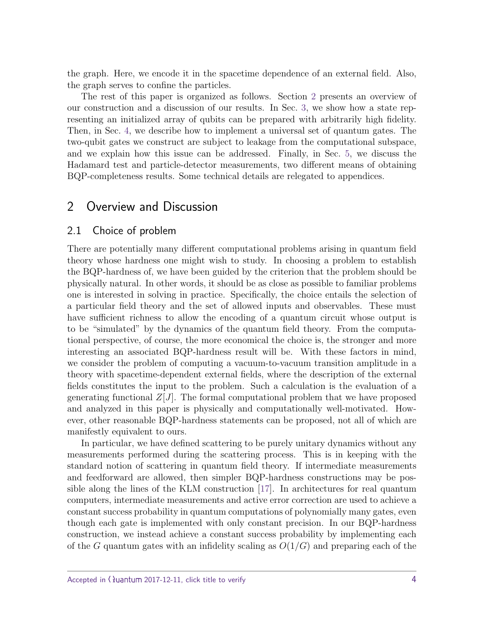the graph. Here, we encode it in the spacetime dependence of an external field. Also, the graph serves to confine the particles.

The rest of this paper is organized as follows. Section [2](#page-3-0) presents an overview of our construction and a discussion of our results. In Sec. [3,](#page-8-0) we show how a state representing an initialized array of qubits can be prepared with arbitrarily high fidelity. Then, in Sec. [4,](#page-17-0) we describe how to implement a universal set of quantum gates. The two-qubit gates we construct are subject to leakage from the computational subspace, and we explain how this issue can be addressed. Finally, in Sec. [5,](#page-26-0) we discuss the Hadamard test and particle-detector measurements, two different means of obtaining BQP-completeness results. Some technical details are relegated to appendices.

# <span id="page-3-0"></span>2 Overview and Discussion

#### 2.1 Choice of problem

There are potentially many different computational problems arising in quantum field theory whose hardness one might wish to study. In choosing a problem to establish the BQP-hardness of, we have been guided by the criterion that the problem should be physically natural. In other words, it should be as close as possible to familiar problems one is interested in solving in practice. Specifically, the choice entails the selection of a particular field theory and the set of allowed inputs and observables. These must have sufficient richness to allow the encoding of a quantum circuit whose output is to be "simulated" by the dynamics of the quantum field theory. From the computational perspective, of course, the more economical the choice is, the stronger and more interesting an associated BQP-hardness result will be. With these factors in mind, we consider the problem of computing a vacuum-to-vacuum transition amplitude in a theory with spacetime-dependent external fields, where the description of the external fields constitutes the input to the problem. Such a calculation is the evaluation of a generating functional  $Z[J]$ . The formal computational problem that we have proposed and analyzed in this paper is physically and computationally well-motivated. However, other reasonable BQP-hardness statements can be proposed, not all of which are manifestly equivalent to ours.

In particular, we have defined scattering to be purely unitary dynamics without any measurements performed during the scattering process. This is in keeping with the standard notion of scattering in quantum field theory. If intermediate measurements and feedforward are allowed, then simpler BQP-hardness constructions may be possible along the lines of the KLM construction [\[17\]](#page-39-5). In architectures for real quantum computers, intermediate measurements and active error correction are used to achieve a constant success probability in quantum computations of polynomially many gates, even though each gate is implemented with only constant precision. In our BQP-hardness construction, we instead achieve a constant success probability by implementing each of the *G* quantum gates with an infidelity scaling as  $O(1/G)$  and preparing each of the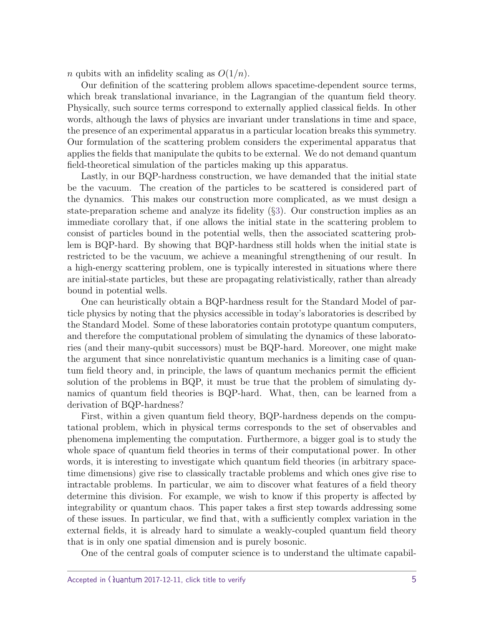*n* qubits with an infidelity scaling as  $O(1/n)$ .

Our definition of the scattering problem allows spacetime-dependent source terms, which break translational invariance, in the Lagrangian of the quantum field theory. Physically, such source terms correspond to externally applied classical fields. In other words, although the laws of physics are invariant under translations in time and space, the presence of an experimental apparatus in a particular location breaks this symmetry. Our formulation of the scattering problem considers the experimental apparatus that applies the fields that manipulate the qubits to be external. We do not demand quantum field-theoretical simulation of the particles making up this apparatus.

Lastly, in our BQP-hardness construction, we have demanded that the initial state be the vacuum. The creation of the particles to be scattered is considered part of the dynamics. This makes our construction more complicated, as we must design a state-preparation scheme and analyze its fidelity (§[3\)](#page-8-0). Our construction implies as an immediate corollary that, if one allows the initial state in the scattering problem to consist of particles bound in the potential wells, then the associated scattering problem is BQP-hard. By showing that BQP-hardness still holds when the initial state is restricted to be the vacuum, we achieve a meaningful strengthening of our result. In a high-energy scattering problem, one is typically interested in situations where there are initial-state particles, but these are propagating relativistically, rather than already bound in potential wells.

One can heuristically obtain a BQP-hardness result for the Standard Model of particle physics by noting that the physics accessible in today's laboratories is described by the Standard Model. Some of these laboratories contain prototype quantum computers, and therefore the computational problem of simulating the dynamics of these laboratories (and their many-qubit successors) must be BQP-hard. Moreover, one might make the argument that since nonrelativistic quantum mechanics is a limiting case of quantum field theory and, in principle, the laws of quantum mechanics permit the efficient solution of the problems in BQP, it must be true that the problem of simulating dynamics of quantum field theories is BQP-hard. What, then, can be learned from a derivation of BQP-hardness?

First, within a given quantum field theory, BQP-hardness depends on the computational problem, which in physical terms corresponds to the set of observables and phenomena implementing the computation. Furthermore, a bigger goal is to study the whole space of quantum field theories in terms of their computational power. In other words, it is interesting to investigate which quantum field theories (in arbitrary spacetime dimensions) give rise to classically tractable problems and which ones give rise to intractable problems. In particular, we aim to discover what features of a field theory determine this division. For example, we wish to know if this property is affected by integrability or quantum chaos. This paper takes a first step towards addressing some of these issues. In particular, we find that, with a sufficiently complex variation in the external fields, it is already hard to simulate a weakly-coupled quantum field theory that is in only one spatial dimension and is purely bosonic.

One of the central goals of computer science is to understand the ultimate capabil-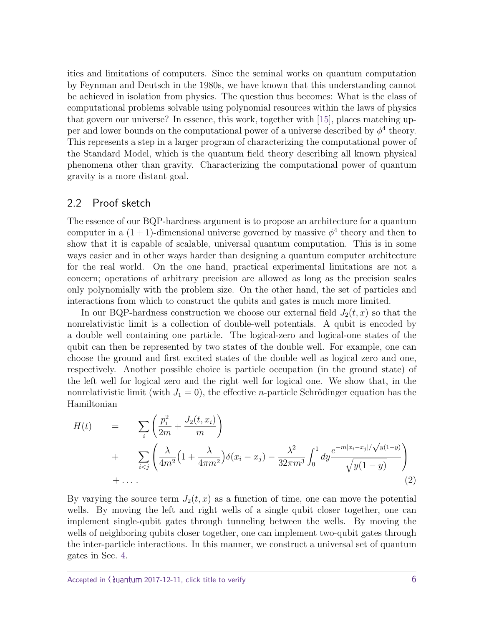ities and limitations of computers. Since the seminal works on quantum computation by Feynman and Deutsch in the 1980s, we have known that this understanding cannot be achieved in isolation from physics. The question thus becomes: What is the class of computational problems solvable using polynomial resources within the laws of physics that govern our universe? In essence, this work, together with [\[15\]](#page-39-2), places matching upper and lower bounds on the computational power of a universe described by  $\phi^4$  theory. This represents a step in a larger program of characterizing the computational power of the Standard Model, which is the quantum field theory describing all known physical phenomena other than gravity. Characterizing the computational power of quantum gravity is a more distant goal.

#### 2.2 Proof sketch

The essence of our BQP-hardness argument is to propose an architecture for a quantum computer in a  $(1 + 1)$ -dimensional universe governed by massive  $\phi^4$  theory and then to show that it is capable of scalable, universal quantum computation. This is in some ways easier and in other ways harder than designing a quantum computer architecture for the real world. On the one hand, practical experimental limitations are not a concern; operations of arbitrary precision are allowed as long as the precision scales only polynomially with the problem size. On the other hand, the set of particles and interactions from which to construct the qubits and gates is much more limited.

In our BQP-hardness construction we choose our external field  $J_2(t, x)$  so that the nonrelativistic limit is a collection of double-well potentials. A qubit is encoded by a double well containing one particle. The logical-zero and logical-one states of the qubit can then be represented by two states of the double well. For example, one can choose the ground and first excited states of the double well as logical zero and one, respectively. Another possible choice is particle occupation (in the ground state) of the left well for logical zero and the right well for logical one. We show that, in the nonrelativistic limit (with  $J_1 = 0$ ), the effective *n*-particle Schrödinger equation has the Hamiltonian

$$
H(t) = \sum_{i} \left( \frac{p_i^2}{2m} + \frac{J_2(t, x_i)}{m} \right)
$$
  
+ 
$$
\sum_{i < j} \left( \frac{\lambda}{4m^2} \left( 1 + \frac{\lambda}{4\pi m^2} \right) \delta(x_i - x_j) - \frac{\lambda^2}{32\pi m^3} \int_0^1 dy \frac{e^{-m|x_i - x_j| / \sqrt{y(1 - y)}}}{\sqrt{y(1 - y)}} \right)
$$
  
+ ... \t(2)

By varying the source term  $J_2(t, x)$  as a function of time, one can move the potential wells. By moving the left and right wells of a single qubit closer together, one can implement single-qubit gates through tunneling between the wells. By moving the wells of neighboring qubits closer together, one can implement two-qubit gates through the inter-particle interactions. In this manner, we construct a universal set of quantum gates in Sec. [4.](#page-17-0)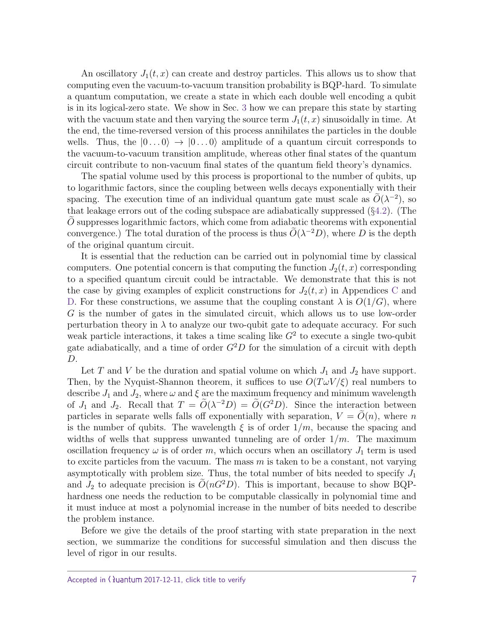An oscillatory  $J_1(t, x)$  can create and destroy particles. This allows us to show that computing even the vacuum-to-vacuum transition probability is BQP-hard. To simulate a quantum computation, we create a state in which each double well encoding a qubit is in its logical-zero state. We show in Sec. [3](#page-8-0) how we can prepare this state by starting with the vacuum state and then varying the source term  $J_1(t, x)$  sinusoidally in time. At the end, the time-reversed version of this process annihilates the particles in the double wells. Thus, the  $|0...0\rangle \rightarrow |0...0\rangle$  amplitude of a quantum circuit corresponds to the vacuum-to-vacuum transition amplitude, whereas other final states of the quantum circuit contribute to non-vacuum final states of the quantum field theory's dynamics.

The spatial volume used by this process is proportional to the number of qubits, up to logarithmic factors, since the coupling between wells decays exponentially with their spacing. The execution time of an individual quantum gate must scale as  $\tilde{O}(\lambda^{-2})$ , so that leakage errors out of the coding subspace are adiabatically suppressed (§[4.2\)](#page-21-0). (The *O* suppresses logarithmic factors, which come from adiabatic theorems with exponential convergence.) The total duration of the process is thus  $\tilde{O}(\lambda^{-2}D)$ , where *D* is the depth of the original quantum circuit.

It is essential that the reduction can be carried out in polynomial time by classical computers. One potential concern is that computing the function  $J_2(t, x)$  corresponding to a specified quantum circuit could be intractable. We demonstrate that this is not the case by giving examples of explicit constructions for  $J_2(t, x)$  in Appendices [C](#page-36-0) and [D.](#page-37-0) For these constructions, we assume that the coupling constant  $\lambda$  is  $O(1/G)$ , where *G* is the number of gates in the simulated circuit, which allows us to use low-order perturbation theory in  $\lambda$  to analyze our two-qubit gate to adequate accuracy. For such weak particle interactions, it takes a time scaling like  $G<sup>2</sup>$  to execute a single two-qubit gate adiabatically, and a time of order  $G^2D$  for the simulation of a circuit with depth *D*.

Let *T* and *V* be the duration and spatial volume on which  $J_1$  and  $J_2$  have support. Then, by the Nyquist-Shannon theorem, it suffices to use  $O(T\omega V/\xi)$  real numbers to describe  $J_1$  and  $J_2$ , where  $\omega$  and  $\xi$  are the maximum frequency and minimum wavelength of *J*<sub>1</sub> and *J*<sub>2</sub>. Recall that  $T = \tilde{O}(\lambda^{-2}D) = \tilde{O}(G^2D)$ . Since the interaction between particles in separate wells falls off exponentially with separation,  $V = O(n)$ , where *n* is the number of qubits. The wavelength  $\xi$  is of order  $1/m$ , because the spacing and widths of wells that suppress unwanted tunneling are of order 1*/m*. The maximum oscillation frequency  $\omega$  is of order m, which occurs when an oscillatory  $J_1$  term is used to excite particles from the vacuum. The mass *m* is taken to be a constant, not varying asymptotically with problem size. Thus, the total number of bits needed to specify  $J_1$ and  $J_2$  to adequate precision is  $\tilde{O}(nG^2D)$ . This is important, because to show BQPhardness one needs the reduction to be computable classically in polynomial time and it must induce at most a polynomial increase in the number of bits needed to describe the problem instance.

Before we give the details of the proof starting with state preparation in the next section, we summarize the conditions for successful simulation and then discuss the level of rigor in our results.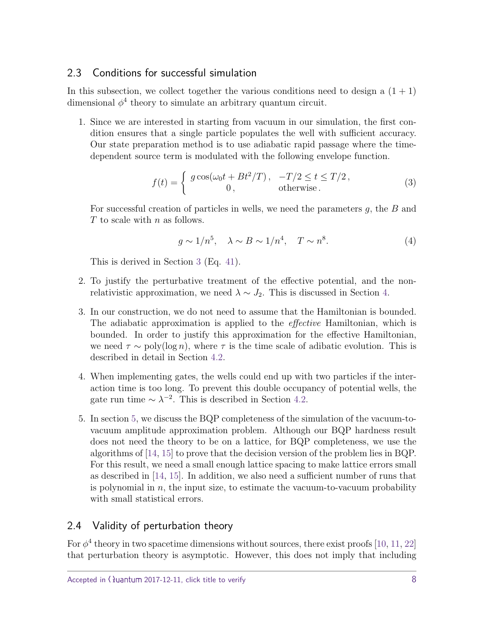## 2.3 Conditions for successful simulation

In this subsection, we collect together the various conditions need to design a  $(1 + 1)$ dimensional  $\phi^4$  theory to simulate an arbitrary quantum circuit.

1. Since we are interested in starting from vacuum in our simulation, the first condition ensures that a single particle populates the well with sufficient accuracy. Our state preparation method is to use adiabatic rapid passage where the timedependent source term is modulated with the following envelope function.

$$
f(t) = \begin{cases} g \cos(\omega_0 t + Bt^2/T), & -T/2 \le t \le T/2, \\ 0, & \text{otherwise.} \end{cases}
$$
 (3)

For successful creation of particles in wells, we need the parameters *g*, the *B* and *T* to scale with *n* as follows.

$$
g \sim 1/n^5, \quad \lambda \sim B \sim 1/n^4, \quad T \sim n^8. \tag{4}
$$

This is derived in Section [3](#page-8-0) (Eq. [41\)](#page-16-0).

- 2. To justify the perturbative treatment of the effective potential, and the nonrelativistic approximation, we need  $\lambda \sim J_2$ . This is discussed in Section [4.](#page-17-0)
- 3. In our construction, we do not need to assume that the Hamiltonian is bounded. The adiabatic approximation is applied to the effective Hamiltonian, which is bounded. In order to justify this approximation for the effective Hamiltonian, we need  $\tau \sim \text{poly}(\log n)$ , where  $\tau$  is the time scale of adibatic evolution. This is described in detail in Section [4.2.](#page-21-0)
- 4. When implementing gates, the wells could end up with two particles if the interaction time is too long. To prevent this double occupancy of potential wells, the gate run time  $\sim \lambda^{-2}$ . This is described in Section [4.2.](#page-21-0)
- 5. In section [5,](#page-26-0) we discuss the BQP completeness of the simulation of the vacuum-tovacuum amplitude approximation problem. Although our BQP hardness result does not need the theory to be on a lattice, for BQP completeness, we use the algorithms of [\[14,](#page-39-0) [15\]](#page-39-2) to prove that the decision version of the problem lies in BQP. For this result, we need a small enough lattice spacing to make lattice errors small as described in [\[14,](#page-39-0) [15\]](#page-39-2). In addition, we also need a sufficient number of runs that is polynomial in *n*, the input size, to estimate the vacuum-to-vacuum probability with small statistical errors.

# 2.4 Validity of perturbation theory

For  $\phi^4$  theory in two spacetime dimensions without sources, there exist proofs [\[10,](#page-39-6) [11,](#page-39-7) [22\]](#page-40-2) that perturbation theory is asymptotic. However, this does not imply that including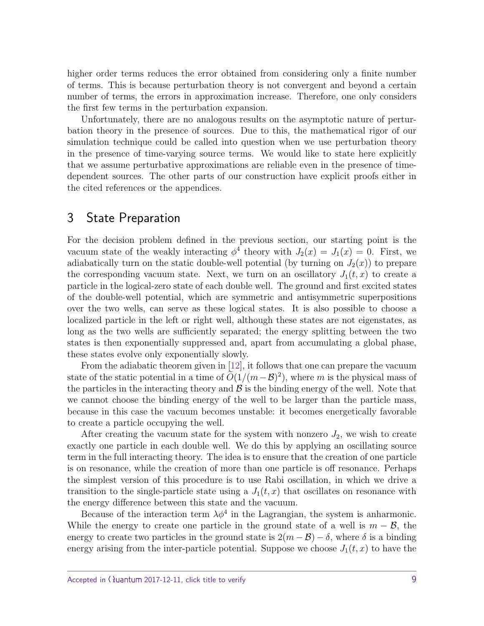higher order terms reduces the error obtained from considering only a finite number of terms. This is because perturbation theory is not convergent and beyond a certain number of terms, the errors in approximation increase. Therefore, one only considers the first few terms in the perturbation expansion.

Unfortunately, there are no analogous results on the asymptotic nature of perturbation theory in the presence of sources. Due to this, the mathematical rigor of our simulation technique could be called into question when we use perturbation theory in the presence of time-varying source terms. We would like to state here explicitly that we assume perturbative approximations are reliable even in the presence of timedependent sources. The other parts of our construction have explicit proofs either in the cited references or the appendices.

# <span id="page-8-0"></span>3 State Preparation

For the decision problem defined in the previous section, our starting point is the vacuum state of the weakly interacting  $\phi^4$  theory with  $J_2(x) = J_1(x) = 0$ . First, we adiabatically turn on the static double-well potential (by turning on  $J_2(x)$ ) to prepare the corresponding vacuum state. Next, we turn on an oscillatory  $J_1(t, x)$  to create a particle in the logical-zero state of each double well. The ground and first excited states of the double-well potential, which are symmetric and antisymmetric superpositions over the two wells, can serve as these logical states. It is also possible to choose a localized particle in the left or right well, although these states are not eigenstates, as long as the two wells are sufficiently separated; the energy splitting between the two states is then exponentially suppressed and, apart from accumulating a global phase, these states evolve only exponentially slowly.

From the adiabatic theorem given in [\[12\]](#page-39-8), it follows that one can prepare the vacuum state of the static potential in a time of  $\tilde{O}(1/(m-\mathcal{B})^2)$ , where *m* is the physical mass of the particles in the interacting theory and  $\mathcal B$  is the binding energy of the well. Note that we cannot choose the binding energy of the well to be larger than the particle mass, because in this case the vacuum becomes unstable: it becomes energetically favorable to create a particle occupying the well.

After creating the vacuum state for the system with nonzero  $J_2$ , we wish to create exactly one particle in each double well. We do this by applying an oscillating source term in the full interacting theory. The idea is to ensure that the creation of one particle is on resonance, while the creation of more than one particle is off resonance. Perhaps the simplest version of this procedure is to use Rabi oscillation, in which we drive a transition to the single-particle state using a  $J_1(t, x)$  that oscillates on resonance with the energy difference between this state and the vacuum.

Because of the interaction term  $\lambda \phi^4$  in the Lagrangian, the system is anharmonic. While the energy to create one particle in the ground state of a well is  $m - \mathcal{B}$ , the energy to create two particles in the ground state is  $2(m - \mathcal{B}) - \delta$ , where  $\delta$  is a binding energy arising from the inter-particle potential. Suppose we choose  $J_1(t, x)$  to have the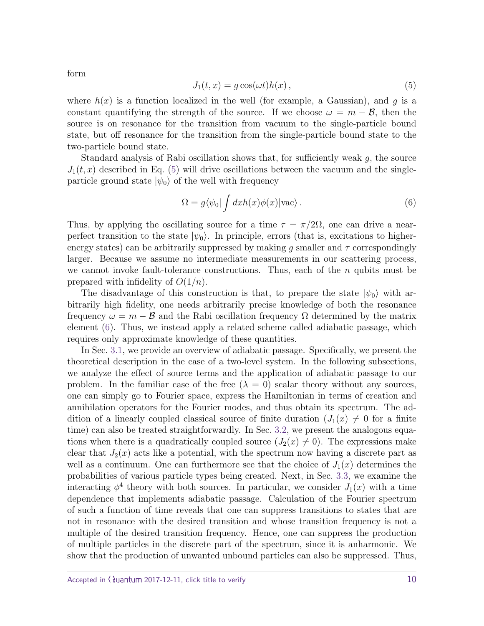$J_1(t, x) = g \cos(\omega t) h(x)$ , (5)

where  $h(x)$  is a function localized in the well (for example, a Gaussian), and g is a constant quantifying the strength of the source. If we choose  $\omega = m - \mathcal{B}$ , then the source is on resonance for the transition from vacuum to the single-particle bound state, but off resonance for the transition from the single-particle bound state to the two-particle bound state.

Standard analysis of Rabi oscillation shows that, for sufficiently weak *g*, the source  $J_1(t, x)$  described in Eq. [\(5\)](#page-9-0) will drive oscillations between the vacuum and the singleparticle ground state  $|\psi_0\rangle$  of the well with frequency

<span id="page-9-1"></span>
$$
\Omega = g \langle \psi_0 | \int dx h(x) \phi(x) | \text{vac} \rangle . \tag{6}
$$

Thus, by applying the oscillating source for a time  $\tau = \pi/2\Omega$ , one can drive a nearperfect transition to the state  $|\psi_0\rangle$ . In principle, errors (that is, excitations to higherenergy states) can be arbitrarily suppressed by making *g* smaller and *τ* correspondingly larger. Because we assume no intermediate measurements in our scattering process, we cannot invoke fault-tolerance constructions. Thus, each of the *n* qubits must be prepared with infidelity of *O*(1*/n*).

The disadvantage of this construction is that, to prepare the state  $|\psi_0\rangle$  with arbitrarily high fidelity, one needs arbitrarily precise knowledge of both the resonance frequency  $\omega = m - \mathcal{B}$  and the Rabi oscillation frequency  $\Omega$  determined by the matrix element [\(6\)](#page-9-1). Thus, we instead apply a related scheme called adiabatic passage, which requires only approximate knowledge of these quantities.

In Sec. [3.1,](#page-10-0) we provide an overview of adiabatic passage. Specifically, we present the theoretical description in the case of a two-level system. In the following subsections, we analyze the effect of source terms and the application of adiabatic passage to our problem. In the familiar case of the free  $(\lambda = 0)$  scalar theory without any sources, one can simply go to Fourier space, express the Hamiltonian in terms of creation and annihilation operators for the Fourier modes, and thus obtain its spectrum. The addition of a linearly coupled classical source of finite duration  $(J_1(x) \neq 0$  for a finite time) can also be treated straightforwardly. In Sec. [3.2,](#page-13-0) we present the analogous equations when there is a quadratically coupled source  $(J_2(x) \neq 0)$ . The expressions make clear that  $J_2(x)$  acts like a potential, with the spectrum now having a discrete part as well as a continuum. One can furthermore see that the choice of  $J_1(x)$  determines the probabilities of various particle types being created. Next, in Sec. [3.3,](#page-15-0) we examine the interacting  $\phi^4$  theory with both sources. In particular, we consider  $J_1(x)$  with a time dependence that implements adiabatic passage. Calculation of the Fourier spectrum of such a function of time reveals that one can suppress transitions to states that are not in resonance with the desired transition and whose transition frequency is not a multiple of the desired transition frequency. Hence, one can suppress the production of multiple particles in the discrete part of the spectrum, since it is anharmonic. We show that the production of unwanted unbound particles can also be suppressed. Thus,

<span id="page-9-0"></span>form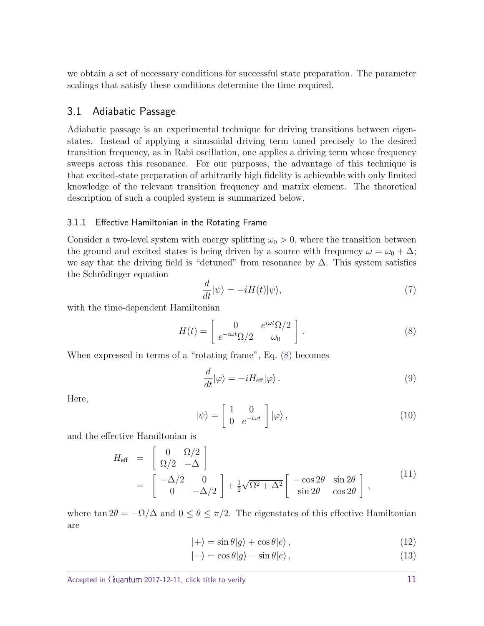we obtain a set of necessary conditions for successful state preparation. The parameter scalings that satisfy these conditions determine the time required.

#### <span id="page-10-0"></span>3.1 Adiabatic Passage

Adiabatic passage is an experimental technique for driving transitions between eigenstates. Instead of applying a sinusoidal driving term tuned precisely to the desired transition frequency, as in Rabi oscillation, one applies a driving term whose frequency sweeps across this resonance. For our purposes, the advantage of this technique is that excited-state preparation of arbitrarily high fidelity is achievable with only limited knowledge of the relevant transition frequency and matrix element. The theoretical description of such a coupled system is summarized below.

#### 3.1.1 Effective Hamiltonian in the Rotating Frame

Consider a two-level system with energy splitting  $\omega_0 > 0$ , where the transition between the ground and excited states is being driven by a source with frequency  $\omega = \omega_0 + \Delta$ ; we say that the driving field is "detuned" from resonance by  $\Delta$ . This system satisfies the Schrödinger equation

<span id="page-10-1"></span>
$$
\frac{d}{dt}|\psi\rangle = -iH(t)|\psi\rangle,\tag{7}
$$

with the time-dependent Hamiltonian

$$
H(t) = \begin{bmatrix} 0 & e^{i\omega t} \Omega/2 \\ e^{-i\omega t} \Omega/2 & \omega_0 \end{bmatrix} . \tag{8}
$$

When expressed in terms of a "rotating frame", Eq. [\(8\)](#page-10-1) becomes

$$
\frac{d}{dt}|\varphi\rangle = -iH_{\text{eff}}|\varphi\rangle.
$$
\n(9)

Here,

<span id="page-10-2"></span>
$$
|\psi\rangle = \begin{bmatrix} 1 & 0 \\ 0 & e^{-i\omega t} \end{bmatrix} |\varphi\rangle , \qquad (10)
$$

and the effective Hamiltonian is

$$
H_{\text{eff}} = \begin{bmatrix} 0 & \Omega/2 \\ \Omega/2 & -\Delta \end{bmatrix}
$$
  
=  $\begin{bmatrix} -\Delta/2 & 0 \\ 0 & -\Delta/2 \end{bmatrix} + \frac{1}{2}\sqrt{\Omega^2 + \Delta^2} \begin{bmatrix} -\cos 2\theta & \sin 2\theta \\ \sin 2\theta & \cos 2\theta \end{bmatrix}$ , (11)

where  $\tan 2\theta = -\Omega/\Delta$  and  $0 \le \theta \le \pi/2$ . The eigenstates of this effective Hamiltonian are

<span id="page-10-3"></span>
$$
|+\rangle = \sin \theta |g\rangle + \cos \theta |e\rangle , \qquad (12)
$$

$$
|-\rangle = \cos\theta|g\rangle - \sin\theta|e\rangle, \qquad (13)
$$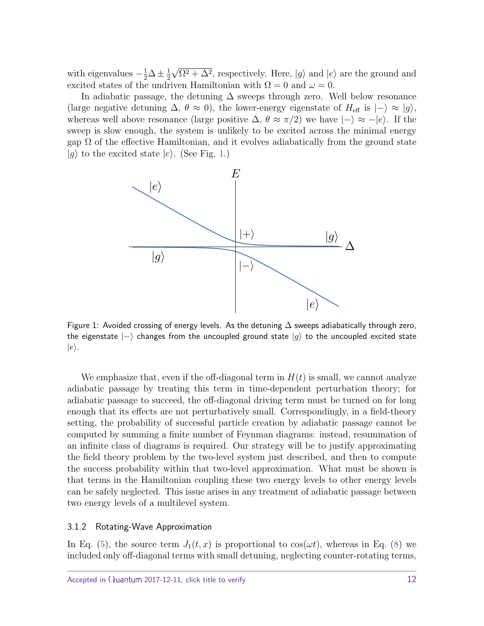with eigenvalues  $-\frac{1}{2}\Delta \pm \frac{1}{2}$ 2 √  $\Omega^2 + \Delta^2$ , respectively. Here,  $|g\rangle$  and  $|e\rangle$  are the ground and excited states of the undriven Hamiltonian with  $\Omega = 0$  and  $\omega = 0$ .

In adiabatic passage, the detuning  $\Delta$  sweeps through zero. Well below resonance (large negative detuning  $\Delta$ ,  $\theta \approx 0$ ), the lower-energy eigenstate of  $H_{\text{eff}}$  is  $|-\rangle \approx |g\rangle$ , whereas well above resonance (large positive  $\Delta$ ,  $\theta \approx \pi/2$ ) we have  $|-\rangle \approx -|e\rangle$ . If the sweep is slow enough, the system is unlikely to be excited across the minimal energy gap  $\Omega$  of the effective Hamiltonian, and it evolves adiabatically from the ground state  $|g\rangle$  to the excited state  $|e\rangle$ . (See Fig. [1.](#page-11-0))



<span id="page-11-0"></span>Figure 1: Avoided crossing of energy levels. As the detuning  $\Delta$  sweeps adiabatically through zero, the eigenstate  $|-\rangle$  changes from the uncoupled ground state  $|g\rangle$  to the uncoupled excited state  $|e\rangle$ .

We emphasize that, even if the off-diagonal term in  $H(t)$  is small, we cannot analyze adiabatic passage by treating this term in time-dependent perturbation theory; for adiabatic passage to succeed, the off-diagonal driving term must be turned on for long enough that its effects are not perturbatively small. Correspondingly, in a field-theory setting, the probability of successful particle creation by adiabatic passage cannot be computed by summing a finite number of Feynman diagrams: instead, resummation of an infinite class of diagrams is required. Our strategy will be to justify approximating the field theory problem by the two-level system just described, and then to compute the success probability within that two-level approximation. What must be shown is that terms in the Hamiltonian coupling these two energy levels to other energy levels can be safely neglected. This issue arises in any treatment of adiabatic passage between two energy levels of a multilevel system.

#### 3.1.2 Rotating-Wave Approximation

In Eq. [\(5\)](#page-9-0), the source term  $J_1(t, x)$  is proportional to  $\cos(\omega t)$ , whereas in Eq. [\(8\)](#page-10-1) we included only off-diagonal terms with small detuning, neglecting counter-rotating terms,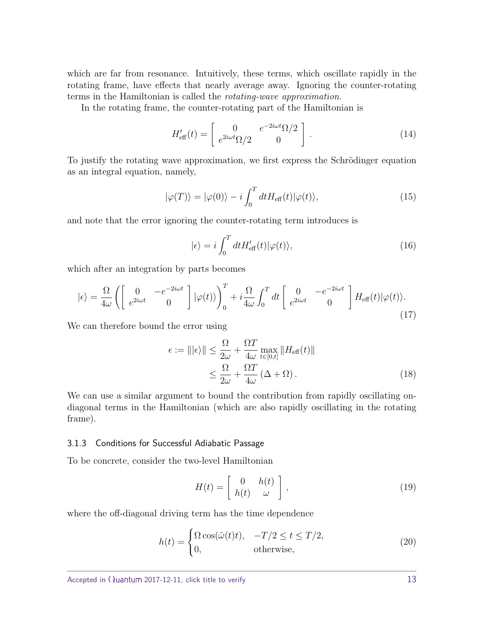which are far from resonance. Intuitively, these terms, which oscillate rapidly in the rotating frame, have effects that nearly average away. Ignoring the counter-rotating terms in the Hamiltonian is called the rotating-wave approximation.

In the rotating frame, the counter-rotating part of the Hamiltonian is

$$
H'_{\text{eff}}(t) = \begin{bmatrix} 0 & e^{-2i\omega t} \Omega/2 \\ e^{2i\omega t} \Omega/2 & 0 \end{bmatrix} . \tag{14}
$$

To justify the rotating wave approximation, we first express the Schrödinger equation as an integral equation, namely,

$$
|\varphi(T)\rangle = |\varphi(0)\rangle - i \int_0^T dt H_{\text{eff}}(t) |\varphi(t)\rangle, \qquad (15)
$$

and note that the error ignoring the counter-rotating term introduces is

$$
|\epsilon\rangle = i \int_0^T dt H'_{\text{eff}}(t) |\varphi(t)\rangle, \qquad (16)
$$

which after an integration by parts becomes

$$
|\epsilon\rangle = \frac{\Omega}{4\omega} \left( \begin{bmatrix} 0 & -e^{-2i\omega t} \\ e^{2i\omega t} & 0 \end{bmatrix} |\varphi(t)\rangle \right)_0^T + i\frac{\Omega}{4\omega} \int_0^T dt \begin{bmatrix} 0 & -e^{-2i\omega t} \\ e^{2i\omega t} & 0 \end{bmatrix} H_{\text{eff}}(t) |\varphi(t)\rangle.
$$
\n(17)

We can therefore bound the error using

<span id="page-12-0"></span>
$$
\epsilon := |||\epsilon\rangle|| \leq \frac{\Omega}{2\omega} + \frac{\Omega T}{4\omega} \max_{t \in [0,t]} ||H_{\text{eff}}(t)||
$$
  

$$
\leq \frac{\Omega}{2\omega} + \frac{\Omega T}{4\omega} (\Delta + \Omega).
$$
 (18)

We can use a similar argument to bound the contribution from rapidly oscillating ondiagonal terms in the Hamiltonian (which are also rapidly oscillating in the rotating frame).

#### 3.1.3 Conditions for Successful Adiabatic Passage

To be concrete, consider the two-level Hamiltonian

<span id="page-12-1"></span>
$$
H(t) = \begin{bmatrix} 0 & h(t) \\ h(t) & \omega \end{bmatrix},
$$
\n(19)

where the off-diagonal driving term has the time dependence

$$
h(t) = \begin{cases} \Omega \cos(\tilde{\omega}(t)t), & -T/2 \le t \le T/2, \\ 0, & \text{otherwise,} \end{cases}
$$
 (20)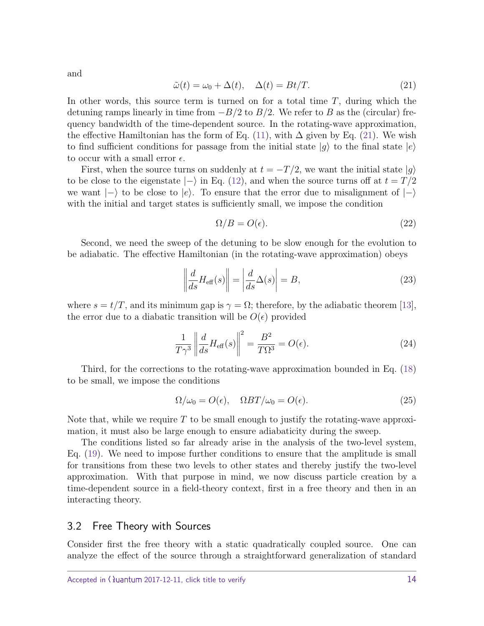<span id="page-13-1"></span>and

$$
\tilde{\omega}(t) = \omega_0 + \Delta(t), \quad \Delta(t) = Bt/T.
$$
\n(21)

In other words, this source term is turned on for a total time *T*, during which the detuning ramps linearly in time from −*B/*2 to *B/*2. We refer to *B* as the (circular) frequency bandwidth of the time-dependent source. In the rotating-wave approximation, the effective Hamiltonian has the form of Eq. [\(11\)](#page-10-2), with  $\Delta$  given by Eq. [\(21\)](#page-13-1). We wish to find sufficient conditions for passage from the initial state  $|g\rangle$  to the final state  $|e\rangle$ to occur with a small error  $\epsilon$ .

First, when the source turns on suddenly at  $t = -T/2$ , we want the initial state  $|g\rangle$ to be close to the eigenstate  $|-\rangle$  in Eq. [\(12\)](#page-10-3), and when the source turns off at  $t = T/2$ we want  $|-\rangle$  to be close to  $|e\rangle$ . To ensure that the error due to misalignment of  $|-\rangle$ with the initial and target states is sufficiently small, we impose the condition

<span id="page-13-3"></span><span id="page-13-2"></span>
$$
\Omega/B = O(\epsilon). \tag{22}
$$

Second, we need the sweep of the detuning to be slow enough for the evolution to be adiabatic. The effective Hamiltonian (in the rotating-wave approximation) obeys

$$
\left\| \frac{d}{ds} H_{\text{eff}}(s) \right\| = \left| \frac{d}{ds} \Delta(s) \right| = B,\tag{23}
$$

where  $s = t/T$ , and its minimum gap is  $\gamma = \Omega$ ; therefore, by the adiabatic theorem [\[13\]](#page-39-9), the error due to a diabatic transition will be  $O(\epsilon)$  provided

$$
\frac{1}{T\gamma^3} \left\| \frac{d}{ds} H_{\text{eff}}(s) \right\|^2 = \frac{B^2}{T\Omega^3} = O(\epsilon). \tag{24}
$$

Third, for the corrections to the rotating-wave approximation bounded in Eq. [\(18\)](#page-12-0) to be small, we impose the conditions

<span id="page-13-4"></span>
$$
\Omega/\omega_0 = O(\epsilon), \quad \Omega BT/\omega_0 = O(\epsilon). \tag{25}
$$

Note that, while we require *T* to be small enough to justify the rotating-wave approximation, it must also be large enough to ensure adiabaticity during the sweep.

The conditions listed so far already arise in the analysis of the two-level system, Eq. [\(19\)](#page-12-1). We need to impose further conditions to ensure that the amplitude is small for transitions from these two levels to other states and thereby justify the two-level approximation. With that purpose in mind, we now discuss particle creation by a time-dependent source in a field-theory context, first in a free theory and then in an interacting theory.

#### <span id="page-13-0"></span>3.2 Free Theory with Sources

Consider first the free theory with a static quadratically coupled source. One can analyze the effect of the source through a straightforward generalization of standard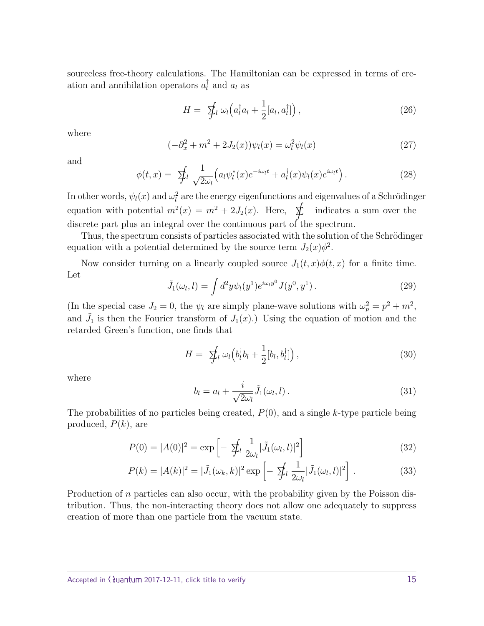sourceless free-theory calculations. The Hamiltonian can be expressed in terms of creation and annihilation operators *a* †  $l$ <sup>l</sup> and  $a_l$  as

$$
H = \oint_{l} \omega_{l} \left( a_{l}^{\dagger} a_{l} + \frac{1}{2} [a_{l}, a_{l}^{\dagger}] \right), \qquad (26)
$$

where

$$
(-\partial_x^2 + m^2 + 2J_2(x))\psi_l(x) = \omega_l^2 \psi_l(x)
$$
\n(27)

and

$$
\phi(t,x) = \sum_{l} \frac{1}{\sqrt{2\omega_{l}}} \left( a_{l} \psi_{l}^{*}(x) e^{-i\omega_{l}t} + a_{l}^{\dagger}(x) \psi_{l}(x) e^{i\omega_{l}t} \right). \tag{28}
$$

In other words,  $\psi_l(x)$  and  $\omega_l^2$  are the energy eigenfunctions and eigenvalues of a Schrödinger equation with potential  $m^2(x) = m^2 + 2J_2(x)$ . Here,  $\oint$  indicates a sum over the discrete part plus an integral over the continuous part of the spectrum.

Thus, the spectrum consists of particles associated with the solution of the Schrödinger equation with a potential determined by the source term  $J_2(x)\phi^2$ .

Now consider turning on a linearly coupled source  $J_1(t, x)\phi(t, x)$  for a finite time. Let

$$
\tilde{J}_1(\omega_l, l) = \int d^2y \psi_l(y^1) e^{i\omega_l y^0} J(y^0, y^1) \,. \tag{29}
$$

(In the special case  $J_2 = 0$ , the  $\psi_l$  are simply plane-wave solutions with  $\omega_p^2 = p^2 + m^2$ , and  $\tilde{J}_1$  is then the Fourier transform of  $J_1(x)$ .) Using the equation of motion and the retarded Green's function, one finds that

$$
H = \sum_{l} \omega_{l} \left( b_{l}^{\dagger} b_{l} + \frac{1}{2} [b_{l}, b_{l}^{\dagger}] \right), \qquad (30)
$$

where

$$
b_l = a_l + \frac{i}{\sqrt{2\omega_l}} \tilde{J}_1(\omega_l, l). \tag{31}
$$

The probabilities of no particles being created, *P*(0), and a single *k*-type particle being produced, *P*(*k*), are

$$
P(0) = |A(0)|^2 = \exp\left[-\sum_{l} \frac{1}{2\omega_l} |\tilde{J}_1(\omega_l, l)|^2\right]
$$
 (32)

$$
P(k) = |A(k)|^2 = |\tilde{J}_1(\omega_k, k)|^2 \exp\left[-\sum_{l} \frac{1}{2\omega_l} |\tilde{J}_1(\omega_l, l)|^2\right].
$$
 (33)

Production of *n* particles can also occur, with the probability given by the Poisson distribution. Thus, the non-interacting theory does not allow one adequately to suppress creation of more than one particle from the vacuum state.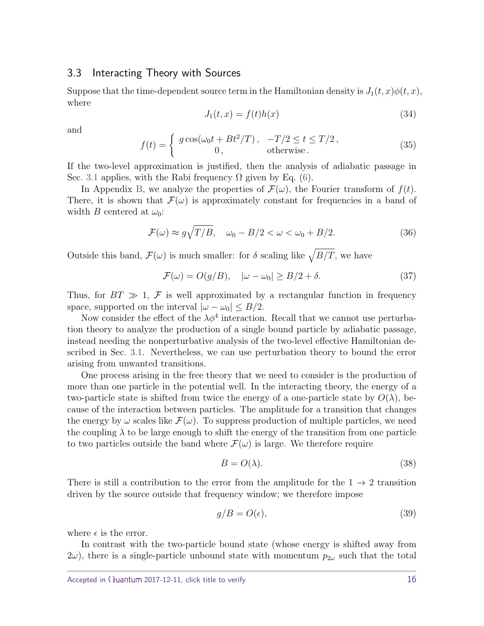#### <span id="page-15-0"></span>3.3 Interacting Theory with Sources

Suppose that the time-dependent source term in the Hamiltonian density is  $J_1(t, x)\phi(t, x)$ , where

$$
J_1(t,x) = f(t)h(x) \tag{34}
$$

and

$$
f(t) = \begin{cases} g \cos(\omega_0 t + Bt^2/T), & -T/2 \le t \le T/2, \\ 0, & \text{otherwise.} \end{cases}
$$
 (35)

If the two-level approximation is justified, then the analysis of adiabatic passage in Sec. [3.1](#page-10-0) applies, with the Rabi frequency  $\Omega$  given by Eq. [\(6\)](#page-9-1).

In Appendix [B,](#page-33-0) we analyze the properties of  $\mathcal{F}(\omega)$ , the Fourier transform of  $f(t)$ . There, it is shown that  $\mathcal{F}(\omega)$  is approximately constant for frequencies in a band of width *B* centered at  $\omega_0$ :

$$
\mathcal{F}(\omega) \approx g\sqrt{T/B}, \quad \omega_0 - B/2 < \omega < \omega_0 + B/2. \tag{36}
$$

Outside this band,  $\mathcal{F}(\omega)$  is much smaller: for  $\delta$  scaling like  $\sqrt{B/T}$ , we have

$$
\mathcal{F}(\omega) = O(g/B), \quad |\omega - \omega_0| \ge B/2 + \delta. \tag{37}
$$

Thus, for  $BT \gg 1$ , F is well approximated by a rectangular function in frequency space, supported on the interval  $|\omega - \omega_0| \leq B/2$ .

Now consider the effect of the  $\lambda \phi^4$  interaction. Recall that we cannot use perturbation theory to analyze the production of a single bound particle by adiabatic passage, instead needing the nonperturbative analysis of the two-level effective Hamiltonian described in Sec. [3.1.](#page-10-0) Nevertheless, we can use perturbation theory to bound the error arising from unwanted transitions.

One process arising in the free theory that we need to consider is the production of more than one particle in the potential well. In the interacting theory, the energy of a two-particle state is shifted from twice the energy of a one-particle state by  $O(\lambda)$ , because of the interaction between particles. The amplitude for a transition that changes the energy by  $\omega$  scales like  $\mathcal{F}(\omega)$ . To suppress production of multiple particles, we need the coupling  $\lambda$  to be large enough to shift the energy of the transition from one particle to two particles outside the band where  $\mathcal{F}(\omega)$  is large. We therefore require

<span id="page-15-2"></span><span id="page-15-1"></span>
$$
B = O(\lambda). \tag{38}
$$

There is still a contribution to the error from the amplitude for the  $1 \rightarrow 2$  transition driven by the source outside that frequency window; we therefore impose

$$
g/B = O(\epsilon),\tag{39}
$$

where  $\epsilon$  is the error.

In contrast with the two-particle bound state (whose energy is shifted away from  $2\omega$ , there is a single-particle unbound state with momentum  $p_{2\omega}$  such that the total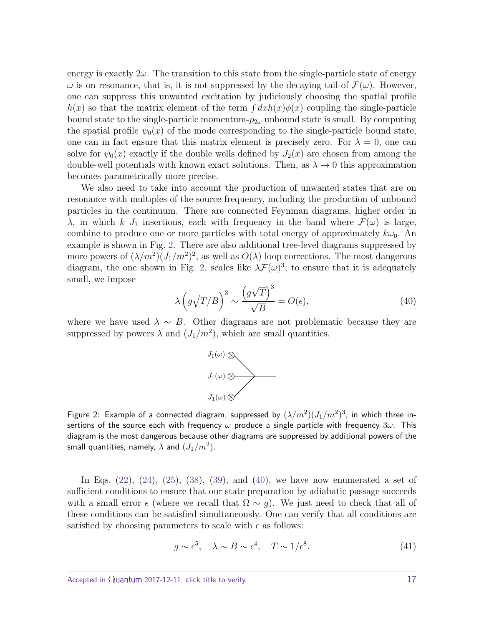energy is exactly  $2\omega$ . The transition to this state from the single-particle state of energy  $\omega$  is on resonance, that is, it is not suppressed by the decaying tail of  $\mathcal{F}(\omega)$ . However, one can suppress this unwanted excitation by judiciously choosing the spatial profile  $h(x)$  so that the matrix element of the term  $\int dx h(x) \phi(x)$  coupling the single-particle bound state to the single-particle momentum- $p_{2\omega}$  unbound state is small. By computing the spatial profile  $\psi_0(x)$  of the mode corresponding to the single-particle bound state, one can in fact ensure that this matrix element is precisely zero. For  $\lambda = 0$ , one can solve for  $\psi_0(x)$  exactly if the double wells defined by  $J_2(x)$  are chosen from among the double-well potentials with known exact solutions. Then, as  $\lambda \to 0$  this approximation becomes parametrically more precise.

We also need to take into account the production of unwanted states that are on resonance with multiples of the source frequency, including the production of unbound particles in the continuum. There are connected Feynman diagrams, higher order in *λ*, in which *k*  $J_1$  insertions, each with frequency in the band where  $\mathcal{F}(\omega)$  is large, combine to produce one or more particles with total energy of approximately  $k\omega_0$ . An example is shown in Fig. [2.](#page-16-1) There are also additional tree-level diagrams suppressed by more powers of  $(\lambda/m^2)(J_1/m^2)^2$ , as well as  $O(\lambda)$  loop corrections. The most dangerous diagram, the one shown in Fig. [2,](#page-16-1) scales like  $\lambda \mathcal{F}(\omega)^3$ ; to ensure that it is adequately small, we impose √

<span id="page-16-2"></span>
$$
\lambda \left( g \sqrt{T/B} \right)^3 \sim \frac{\left( g \sqrt{T} \right)^3}{\sqrt{B}} = O(\epsilon),\tag{40}
$$

where we have used  $\lambda \sim B$ . Other diagrams are not problematic because they are suppressed by powers  $\lambda$  and  $(J_1/m^2)$ , which are small quantities.



<span id="page-16-1"></span>Figure 2: Example of a connected diagram, suppressed by  $(\lambda/m^2)(J_1/m^2)^3$ , in which three insertions of the source each with frequency *ω* produce a single particle with frequency 3*ω*. This diagram is the most dangerous because other diagrams are suppressed by additional powers of the small quantities, namely,  $\lambda$  and  $(J_1/m^2)$ .

In Eqs.  $(22)$ ,  $(24)$ ,  $(25)$ ,  $(38)$ ,  $(39)$ , and  $(40)$ , we have now enumerated a set of sufficient conditions to ensure that our state preparation by adiabatic passage succeeds with a small error  $\epsilon$  (where we recall that  $\Omega \sim g$ ). We just need to check that all of these conditions can be satisfied simultaneously. One can verify that all conditions are satisfied by choosing parameters to scale with  $\epsilon$  as follows:

<span id="page-16-0"></span>
$$
g \sim \epsilon^5, \quad \lambda \sim B \sim \epsilon^4, \quad T \sim 1/\epsilon^8. \tag{41}
$$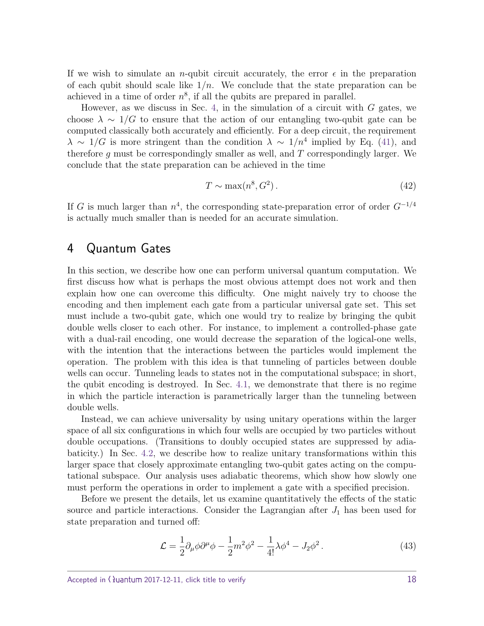If we wish to simulate an *n*-qubit circuit accurately, the error  $\epsilon$  in the preparation of each qubit should scale like  $1/n$ . We conclude that the state preparation can be achieved in a time of order  $n^8$ , if all the qubits are prepared in parallel.

However, as we discuss in Sec. [4,](#page-17-0) in the simulation of a circuit with *G* gates, we choose  $\lambda \sim 1/G$  to ensure that the action of our entangling two-qubit gate can be computed classically both accurately and efficiently. For a deep circuit, the requirement  $\lambda \sim 1/G$  is more stringent than the condition  $\lambda \sim 1/n^4$  implied by Eq. [\(41\)](#page-16-0), and therefore *g* must be correspondingly smaller as well, and *T* correspondingly larger. We conclude that the state preparation can be achieved in the time

$$
T \sim \max(n^8, G^2). \tag{42}
$$

If *G* is much larger than *n* 4 , the corresponding state-preparation error of order *G*<sup>−</sup>1*/*<sup>4</sup> is actually much smaller than is needed for an accurate simulation.

# <span id="page-17-0"></span>4 Quantum Gates

In this section, we describe how one can perform universal quantum computation. We first discuss how what is perhaps the most obvious attempt does not work and then explain how one can overcome this difficulty. One might naively try to choose the encoding and then implement each gate from a particular universal gate set. This set must include a two-qubit gate, which one would try to realize by bringing the qubit double wells closer to each other. For instance, to implement a controlled-phase gate with a dual-rail encoding, one would decrease the separation of the logical-one wells, with the intention that the interactions between the particles would implement the operation. The problem with this idea is that tunneling of particles between double wells can occur. Tunneling leads to states not in the computational subspace; in short, the qubit encoding is destroyed. In Sec. [4.1,](#page-19-0) we demonstrate that there is no regime in which the particle interaction is parametrically larger than the tunneling between double wells.

Instead, we can achieve universality by using unitary operations within the larger space of all six configurations in which four wells are occupied by two particles without double occupations. (Transitions to doubly occupied states are suppressed by adiabaticity.) In Sec. [4.2,](#page-21-0) we describe how to realize unitary transformations within this larger space that closely approximate entangling two-qubit gates acting on the computational subspace. Our analysis uses adiabatic theorems, which show how slowly one must perform the operations in order to implement a gate with a specified precision.

Before we present the details, let us examine quantitatively the effects of the static source and particle interactions. Consider the Lagrangian after  $J_1$  has been used for state preparation and turned off:

$$
\mathcal{L} = \frac{1}{2} \partial_{\mu} \phi \partial^{\mu} \phi - \frac{1}{2} m^2 \phi^2 - \frac{1}{4!} \lambda \phi^4 - J_2 \phi^2. \tag{43}
$$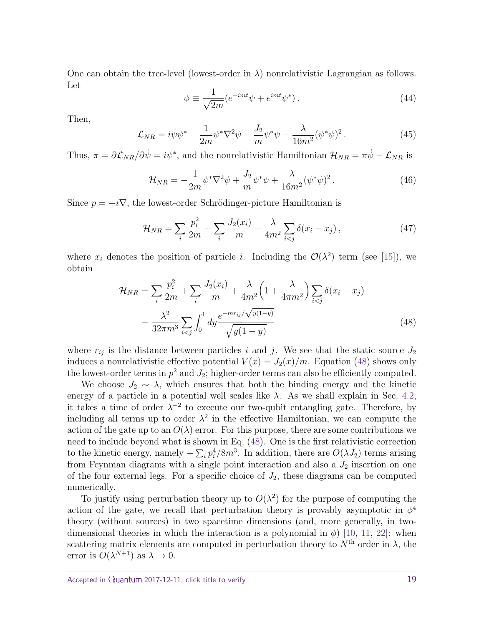One can obtain the tree-level (lowest-order in  $\lambda$ ) nonrelativistic Lagrangian as follows. Let

$$
\phi \equiv \frac{1}{\sqrt{2m}} (e^{-imt}\psi + e^{imt}\psi^*).
$$
\n(44)

Then,

$$
\mathcal{L}_{NR} = i\dot{\psi}\psi^* + \frac{1}{2m}\psi^*\nabla^2\psi - \frac{J_2}{m}\psi^*\psi - \frac{\lambda}{16m^2}(\psi^*\psi)^2.
$$
 (45)

Thus,  $\pi = \partial \mathcal{L}_{NR}/\partial \dot{\psi} = i\psi^*$ , and the nonrelativistic Hamiltonian  $\mathcal{H}_{NR} = \pi \dot{\psi} - \mathcal{L}_{NR}$  is

$$
\mathcal{H}_{NR} = -\frac{1}{2m} \psi^* \nabla^2 \psi + \frac{J_2}{m} \psi^* \psi + \frac{\lambda}{16m^2} (\psi^* \psi)^2.
$$
 (46)

Since  $p = -i\nabla$ , the lowest-order Schrödinger-picture Hamiltonian is

$$
\mathcal{H}_{NR} = \sum_{i} \frac{p_i^2}{2m} + \sum_{i} \frac{J_2(x_i)}{m} + \frac{\lambda}{4m^2} \sum_{i < j} \delta(x_i - x_j),\tag{47}
$$

where  $x_i$  denotes the position of particle *i*. Including the  $\mathcal{O}(\lambda^2)$  term (see [\[15\]](#page-39-2)), we obtain

<span id="page-18-0"></span>
$$
\mathcal{H}_{NR} = \sum_{i} \frac{p_i^2}{2m} + \sum_{i} \frac{J_2(x_i)}{m} + \frac{\lambda}{4m^2} \left( 1 + \frac{\lambda}{4\pi m^2} \right) \sum_{i < j} \delta(x_i - x_j) - \frac{\lambda^2}{32\pi m^3} \sum_{i < j} \int_0^1 dy \frac{e^{-m r_{ij}} / \sqrt{y(1-y)}}{\sqrt{y(1-y)}} \tag{48}
$$

where  $r_{ij}$  is the distance between particles *i* and *j*. We see that the static source  $J_2$ induces a nonrelativistic effective potential  $V(x) = J_2(x)/m$ . Equation [\(48\)](#page-18-0) shows only the lowest-order terms in  $p^2$  and  $J_2$ ; higher-order terms can also be efficiently computed.

We choose  $J_2 \sim \lambda$ , which ensures that both the binding energy and the kinetic energy of a particle in a potential well scales like  $\lambda$ . As we shall explain in Sec. [4.2,](#page-21-0) it takes a time of order  $\lambda^{-2}$  to execute our two-qubit entangling gate. Therefore, by including all terms up to order  $\lambda^2$  in the effective Hamiltonian, we can compute the action of the gate up to an  $O(\lambda)$  error. For this purpose, there are some contributions we need to include beyond what is shown in Eq. [\(48\)](#page-18-0). One is the first relativistic correction to the kinetic energy, namely  $-\sum_i p_i^4/8m^3$ . In addition, there are  $O(\lambda J_2)$  terms arising from Feynman diagrams with a single point interaction and also a  $J_2$  insertion on one of the four external legs. For a specific choice of  $J_2$ , these diagrams can be computed numerically.

To justify using perturbation theory up to  $O(\lambda^2)$  for the purpose of computing the action of the gate, we recall that perturbation theory is provably asymptotic in  $\phi^4$ theory (without sources) in two spacetime dimensions (and, more generally, in twodimensional theories in which the interaction is a polynomial in  $\phi$ ) [\[10,](#page-39-6) [11,](#page-39-7) [22\]](#page-40-2): when scattering matrix elements are computed in perturbation theory to  $N<sup>th</sup>$  order in  $\lambda$ , the error is  $O(\lambda^{N+1})$  as  $\lambda \to 0$ .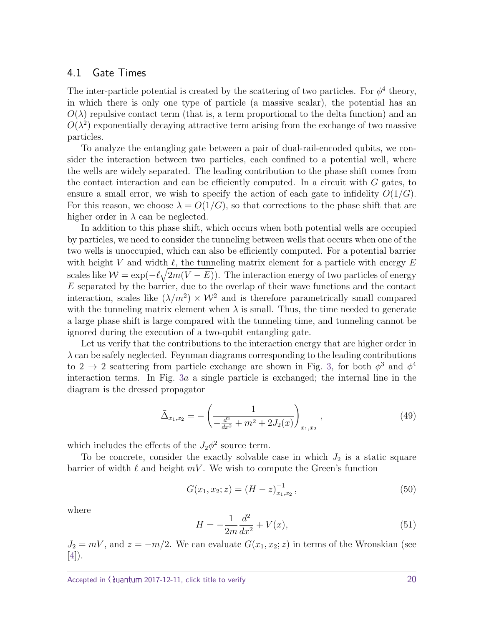#### <span id="page-19-0"></span>4.1 Gate Times

The inter-particle potential is created by the scattering of two particles. For  $\phi^4$  theory, in which there is only one type of particle (a massive scalar), the potential has an  $O(\lambda)$  repulsive contact term (that is, a term proportional to the delta function) and an  $O(\lambda^2)$  exponentially decaying attractive term arising from the exchange of two massive particles.

To analyze the entangling gate between a pair of dual-rail-encoded qubits, we consider the interaction between two particles, each confined to a potential well, where the wells are widely separated. The leading contribution to the phase shift comes from the contact interaction and can be efficiently computed. In a circuit with *G* gates, to ensure a small error, we wish to specify the action of each gate to infidelity  $O(1/G)$ . For this reason, we choose  $\lambda = O(1/G)$ , so that corrections to the phase shift that are higher order in  $\lambda$  can be neglected.

In addition to this phase shift, which occurs when both potential wells are occupied by particles, we need to consider the tunneling between wells that occurs when one of the two wells is unoccupied, which can also be efficiently computed. For a potential barrier with height *V* and width  $\ell$ , the tunneling matrix element for a particle with energy  $E$ scales like  $\mathcal{W} = \exp(-\ell \sqrt{2m(V-E)})$ . The interaction energy of two particles of energy *E* separated by the barrier, due to the overlap of their wave functions and the contact interaction, scales like  $(\lambda/m^2) \times W^2$  and is therefore parametrically small compared with the tunneling matrix element when  $\lambda$  is small. Thus, the time needed to generate a large phase shift is large compared with the tunneling time, and tunneling cannot be ignored during the execution of a two-qubit entangling gate.

Let us verify that the contributions to the interaction energy that are higher order in *λ* can be safely neglected. Feynman diagrams corresponding to the leading contributions to 2  $\rightarrow$  2 scattering from particle exchange are shown in Fig. [3,](#page-20-0) for both  $\phi^3$  and  $\phi^4$ interaction terms. In Fig. [3](#page-20-0)*a* a single particle is exchanged; the internal line in the diagram is the dressed propagator

$$
\bar{\Delta}_{x_1,x_2} = -\left(\frac{1}{-\frac{d^2}{dx^2} + m^2 + 2J_2(x)}\right)_{x_1,x_2},\tag{49}
$$

which includes the effects of the  $J_2\phi^2$  source term.

To be concrete, consider the exactly solvable case in which  $J_2$  is a static square barrier of width  $\ell$  and height  $mV$ . We wish to compute the Green's function

$$
G(x_1, x_2; z) = (H - z)_{x_1, x_2}^{-1}, \tag{50}
$$

where

$$
H = -\frac{1}{2m}\frac{d^2}{dx^2} + V(x),\tag{51}
$$

 $J_2 = mV$ , and  $z = -m/2$ . We can evaluate  $G(x_1, x_2; z)$  in terms of the Wronskian (see [\[4\]](#page-38-2)).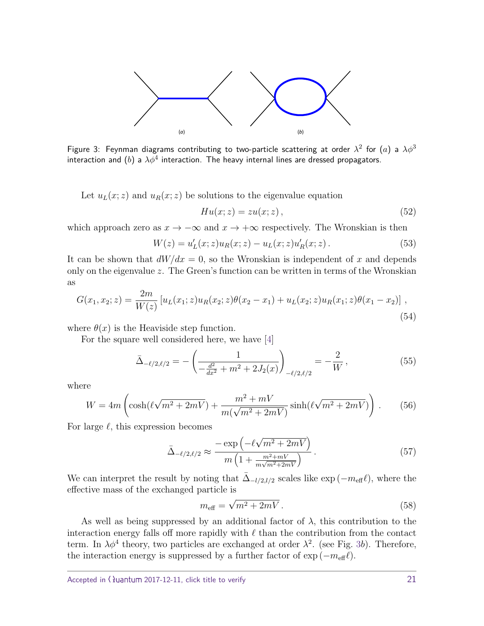

<span id="page-20-0"></span>Figure 3: Feynman diagrams contributing to two-particle scattering at order  $\lambda^2$  for  $(a)$  a  $\lambda \phi^3$ interaction and  $(b)$  a  $\lambda \phi^4$  interaction. The heavy internal lines are dressed propagators.

Let  $u_L(x; z)$  and  $u_R(x; z)$  be solutions to the eigenvalue equation

$$
Hu(x; z) = zu(x; z), \qquad (52)
$$

which approach zero as  $x \to -\infty$  and  $x \to +\infty$  respectively. The Wronskian is then

$$
W(z) = u_L'(x; z)u_R(x; z) - u_L(x; z)u_R'(x; z).
$$
 (53)

It can be shown that  $dW/dx = 0$ , so the Wronskian is independent of x and depends only on the eigenvalue *z*. The Green's function can be written in terms of the Wronskian as

$$
G(x_1, x_2; z) = \frac{2m}{W(z)} \left[ u_L(x_1; z) u_R(x_2; z) \theta(x_2 - x_1) + u_L(x_2; z) u_R(x_1; z) \theta(x_1 - x_2) \right],
$$
\n(54)

where  $\theta(x)$  is the Heaviside step function.

For the square well considered here, we have [\[4\]](#page-38-2)

$$
\bar{\Delta}_{-\ell/2,\ell/2} = -\left(\frac{1}{-\frac{d^2}{dx^2} + m^2 + 2J_2(x)}\right)_{-\ell/2,\ell/2} = -\frac{2}{W},\tag{55}
$$

where

$$
W = 4m\left(\cosh(\ell\sqrt{m^2 + 2mV}) + \frac{m^2 + mV}{m(\sqrt{m^2 + 2mV})}\sinh(\ell\sqrt{m^2 + 2mV})\right). \tag{56}
$$

For large  $\ell$ , this expression becomes

$$
\bar{\Delta}_{-\ell/2,\ell/2} \approx \frac{-\exp\left(-\ell\sqrt{m^2 + 2mV}\right)}{m\left(1 + \frac{m^2 + mV}{m\sqrt{m^2 + 2mV}}\right)}.
$$
\n(57)

We can interpret the result by noting that  $\bar{\Delta}_{-l/2,l/2}$  scales like  $\exp(-m_{\text{eff}}\ell)$ , where the effective mass of the exchanged particle is

$$
m_{\text{eff}} = \sqrt{m^2 + 2mV} \,. \tag{58}
$$

As well as being suppressed by an additional factor of  $\lambda$ , this contribution to the interaction energy falls off more rapidly with  $\ell$  than the contribution from the contact term. In  $\lambda \phi^4$  theory, two particles are exchanged at order  $\lambda^2$ . (see Fig. [3](#page-20-0)b). Therefore, the interaction energy is suppressed by a further factor of  $\exp(-m_{\text{eff}}\ell)$ .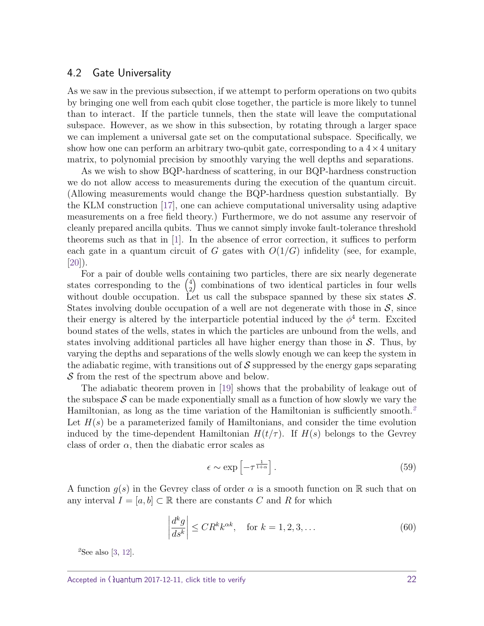#### <span id="page-21-0"></span>4.2 Gate Universality

As we saw in the previous subsection, if we attempt to perform operations on two qubits by bringing one well from each qubit close together, the particle is more likely to tunnel than to interact. If the particle tunnels, then the state will leave the computational subspace. However, as we show in this subsection, by rotating through a larger space we can implement a universal gate set on the computational subspace. Specifically, we show how one can perform an arbitrary two-qubit gate, corresponding to a  $4 \times 4$  unitary matrix, to polynomial precision by smoothly varying the well depths and separations.

As we wish to show BQP-hardness of scattering, in our BQP-hardness construction we do not allow access to measurements during the execution of the quantum circuit. (Allowing measurements would change the BQP-hardness question substantially. By the KLM construction [\[17\]](#page-39-5), one can achieve computational universality using adaptive measurements on a free field theory.) Furthermore, we do not assume any reservoir of cleanly prepared ancilla qubits. Thus we cannot simply invoke fault-tolerance threshold theorems such as that in [\[1\]](#page-38-3). In the absence of error correction, it suffices to perform each gate in a quantum circuit of *G* gates with  $O(1/G)$  infidelity (see, for example, [\[20\]](#page-39-10)).

For a pair of double wells containing two particles, there are six nearly degenerate states corresponding to the  $\binom{4}{3}$ 2 combinations of two identical particles in four wells without double occupation. Let us call the subspace spanned by these six states  $S$ . States involving double occupation of a well are not degenerate with those in  $S$ , since their energy is altered by the interparticle potential induced by the  $\phi^4$  term. Excited bound states of the wells, states in which the particles are unbound from the wells, and states involving additional particles all have higher energy than those in  $S$ . Thus, by varying the depths and separations of the wells slowly enough we can keep the system in the adiabatic regime, with transitions out of  $\mathcal S$  suppressed by the energy gaps separating S from the rest of the spectrum above and below.

The adiabatic theorem proven in [\[19\]](#page-39-11) shows that the probability of leakage out of the subspace  $S$  can be made exponentially small as a function of how slowly we vary the Hamiltonian, as long as the time variation of the Hamiltonian is sufficiently smooth.*[2](#page-21-1)* Let  $H(s)$  be a parameterized family of Hamiltonians, and consider the time evolution induced by the time-dependent Hamiltonian  $H(t/\tau)$ . If  $H(s)$  belongs to the Gevrey class of order  $\alpha$ , then the diabatic error scales as

$$
\epsilon \sim \exp\left[-\tau^{\frac{1}{1+\alpha}}\right].\tag{59}
$$

A function  $g(s)$  in the Gevrey class of order  $\alpha$  is a smooth function on R such that on any interval  $I = [a, b] \subset \mathbb{R}$  there are constants C and R for which

$$
\left| \frac{d^k g}{ds^k} \right| \le C R^k k^{\alpha k}, \quad \text{for } k = 1, 2, 3, \dots \tag{60}
$$

<span id="page-21-1"></span>*<sup>2</sup>*See also [\[3,](#page-38-4) [12\]](#page-39-8).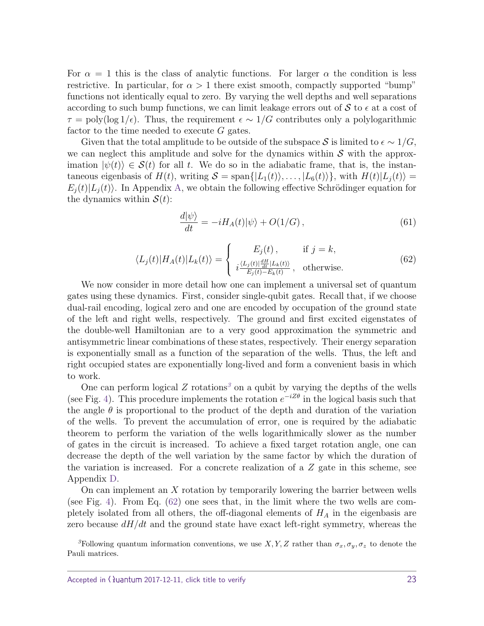For  $\alpha = 1$  this is the class of analytic functions. For larger  $\alpha$  the condition is less restrictive. In particular, for  $\alpha > 1$  there exist smooth, compactly supported "bump" functions not identically equal to zero. By varying the well depths and well separations according to such bump functions, we can limit leakage errors out of  $S$  to  $\epsilon$  at a cost of  $\tau = \text{poly}(\log 1/\epsilon)$ . Thus, the requirement  $\epsilon \sim 1/G$  contributes only a polylogarithmic factor to the time needed to execute *G* gates.

Given that the total amplitude to be outside of the subspace S is limited to  $\epsilon \sim 1/G$ , we can neglect this amplitude and solve for the dynamics within  $S$  with the approximation  $|\psi(t)\rangle \in \mathcal{S}(t)$  for all *t*. We do so in the adiabatic frame, that is, the instantaneous eigenbasis of  $H(t)$ , writing  $S = \text{span}\{|L_1(t)\rangle, \ldots, |L_6(t)\rangle\}$ , with  $H(t)|L_i(t)\rangle =$  $E_i(t) | L_i(t)$ . In Appendix [A,](#page-29-0) we obtain the following effective Schrödinger equation for the dynamics within  $S(t)$ :

$$
\frac{d|\psi\rangle}{dt} = -iH_A(t)|\psi\rangle + O(1/G)\,,\tag{61}
$$

$$
\langle L_j(t)|H_A(t)|L_k(t)\rangle = \begin{cases} E_j(t), & \text{if } j = k, \\ i \frac{\langle L_j(t)|\frac{dH}{dt}|L_k(t)\rangle}{E_j(t)-E_k(t)}, & \text{otherwise.} \end{cases}
$$
(62)

<span id="page-22-1"></span>We now consider in more detail how one can implement a universal set of quantum gates using these dynamics. First, consider single-qubit gates. Recall that, if we choose dual-rail encoding, logical zero and one are encoded by occupation of the ground state of the left and right wells, respectively. The ground and first excited eigenstates of the double-well Hamiltonian are to a very good approximation the symmetric and antisymmetric linear combinations of these states, respectively. Their energy separation is exponentially small as a function of the separation of the wells. Thus, the left and right occupied states are exponentially long-lived and form a convenient basis in which to work.

One can perform logical  $Z$  rotations<sup>[3](#page-22-0)</sup> on a qubit by varying the depths of the wells (see Fig. [4\)](#page-23-0). This procedure implements the rotation  $e^{-iZ\theta}$  in the logical basis such that the angle  $\theta$  is proportional to the product of the depth and duration of the variation of the wells. To prevent the accumulation of error, one is required by the adiabatic theorem to perform the variation of the wells logarithmically slower as the number of gates in the circuit is increased. To achieve a fixed target rotation angle, one can decrease the depth of the well variation by the same factor by which the duration of the variation is increased. For a concrete realization of a *Z* gate in this scheme, see Appendix [D.](#page-37-0)

On can implement an *X* rotation by temporarily lowering the barrier between wells (see Fig. [4\)](#page-23-0). From Eq. [\(62\)](#page-22-1) one sees that, in the limit where the two wells are completely isolated from all others, the off-diagonal elements of *H<sup>A</sup>* in the eigenbasis are zero because *dH/dt* and the ground state have exact left-right symmetry, whereas the

<span id="page-22-0"></span><sup>3</sup>Following quantum information conventions, we use *X, Y, Z* rather than  $\sigma_x, \sigma_y, \sigma_z$  to denote the Pauli matrices.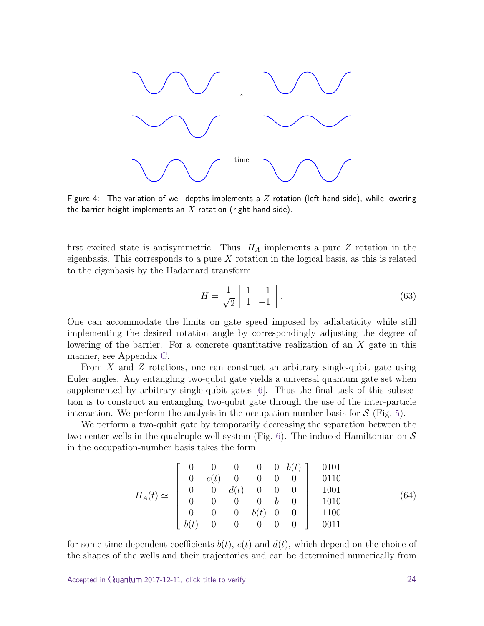

<span id="page-23-0"></span>Figure 4: The variation of well depths implements a *Z* rotation (left-hand side), while lowering the barrier height implements an *X* rotation (right-hand side).

first excited state is antisymmetric. Thus, *H<sup>A</sup>* implements a pure *Z* rotation in the eigenbasis. This corresponds to a pure *X* rotation in the logical basis, as this is related to the eigenbasis by the Hadamard transform

$$
H = \frac{1}{\sqrt{2}} \begin{bmatrix} 1 & 1 \\ 1 & -1 \end{bmatrix} . \tag{63}
$$

One can accommodate the limits on gate speed imposed by adiabaticity while still implementing the desired rotation angle by correspondingly adjusting the degree of lowering of the barrier. For a concrete quantitative realization of an *X* gate in this manner, see Appendix [C.](#page-36-0)

From *X* and *Z* rotations, one can construct an arbitrary single-qubit gate using Euler angles. Any entangling two-qubit gate yields a universal quantum gate set when supplemented by arbitrary single-qubit gates [\[6\]](#page-39-12). Thus the final task of this subsection is to construct an entangling two-qubit gate through the use of the inter-particle interaction. We perform the analysis in the occupation-number basis for  $S$  (Fig. [5\)](#page-24-0).

We perform a two-qubit gate by temporarily decreasing the separation between the two center wells in the quadruple-well system (Fig. [6\)](#page-25-0). The induced Hamiltonian on  $\mathcal S$ in the occupation-number basis takes the form

$$
H_A(t) \simeq \begin{bmatrix} 0 & 0 & 0 & 0 & 0 & b(t) \\ 0 & c(t) & 0 & 0 & 0 & 0 \\ 0 & 0 & d(t) & 0 & 0 & 0 \\ 0 & 0 & 0 & 0 & b & 0 \\ 0 & 0 & 0 & b(t) & 0 & 0 \\ b(t) & 0 & 0 & 0 & 0 & 0 \end{bmatrix} \begin{bmatrix} 0101 \\ 0110 \\ 1001 \\ 1001 \\ 1100 \\ 0011 \end{bmatrix} \qquad (64)
$$

for some time-dependent coefficients  $b(t)$ ,  $c(t)$  and  $d(t)$ , which depend on the choice of the shapes of the wells and their trajectories and can be determined numerically from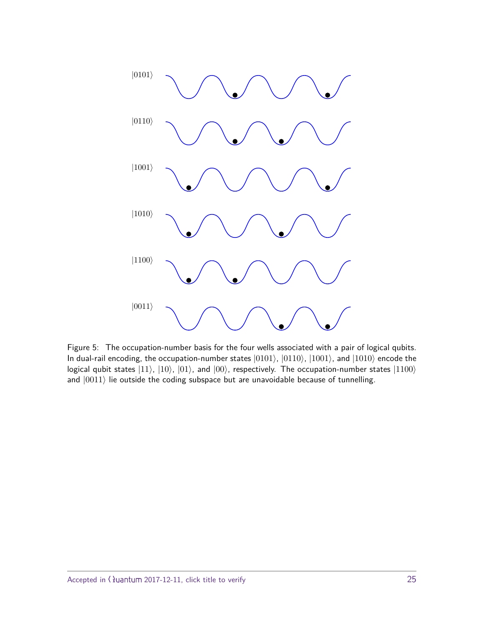

<span id="page-24-0"></span>Figure 5: The occupation-number basis for the four wells associated with a pair of logical qubits. In dual-rail encoding, the occupation-number states  $|0101\rangle$ ,  $|0110\rangle$ ,  $|1001\rangle$ , and  $|1010\rangle$  encode the logical qubit states  $|11\rangle$ ,  $|10\rangle$ ,  $|01\rangle$ , and  $|00\rangle$ , respectively. The occupation-number states  $|1100\rangle$ and  $|0011\rangle$  lie outside the coding subspace but are unavoidable because of tunnelling.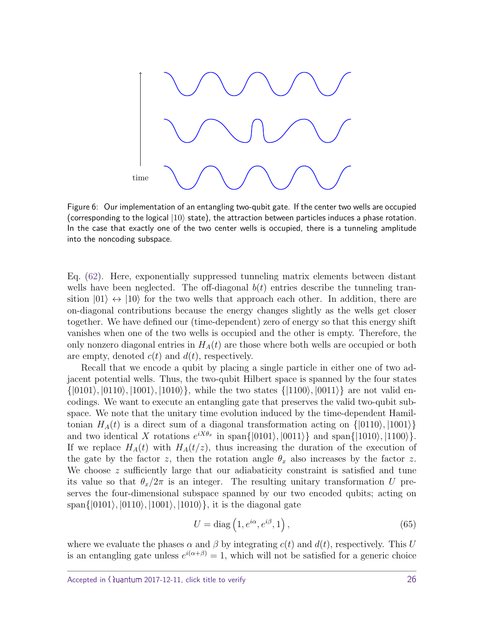

<span id="page-25-0"></span>Figure 6: Our implementation of an entangling two-qubit gate. If the center two wells are occupied (corresponding to the logical  $|10\rangle$  state), the attraction between particles induces a phase rotation. In the case that exactly one of the two center wells is occupied, there is a tunneling amplitude into the noncoding subspace.

Eq. [\(62\)](#page-22-1). Here, exponentially suppressed tunneling matrix elements between distant wells have been neglected. The off-diagonal  $b(t)$  entries describe the tunneling transition  $|01\rangle \leftrightarrow |10\rangle$  for the two wells that approach each other. In addition, there are on-diagonal contributions because the energy changes slightly as the wells get closer together. We have defined our (time-dependent) zero of energy so that this energy shift vanishes when one of the two wells is occupied and the other is empty. Therefore, the only nonzero diagonal entries in *HA*(*t*) are those where both wells are occupied or both are empty, denoted  $c(t)$  and  $d(t)$ , respectively.

Recall that we encode a qubit by placing a single particle in either one of two adjacent potential wells. Thus, the two-qubit Hilbert space is spanned by the four states  $\{|0101\rangle, |0110\rangle, |1001\rangle, |1010\rangle\},$  while the two states  $\{|1100\rangle, |0011\rangle\}$  are not valid encodings. We want to execute an entangling gate that preserves the valid two-qubit subspace. We note that the unitary time evolution induced by the time-dependent Hamiltonian  $H_A(t)$  is a direct sum of a diagonal transformation acting on  $\{|0110\rangle, |1001\rangle\}$ and two identical X rotations  $e^{iX\theta_x}$  in span $\{|0101\rangle, |0011\rangle\}$  and span $\{|1010\rangle, |1100\rangle\}$ . If we replace  $H_A(t)$  with  $H_A(t/z)$ , thus increasing the duration of the execution of the gate by the factor *z*, then the rotation angle  $\theta_x$  also increases by the factor *z*. We choose *z* sufficiently large that our adiabaticity constraint is satisfied and tune its value so that  $\theta_x/2\pi$  is an integer. The resulting unitary transformation *U* preserves the four-dimensional subspace spanned by our two encoded qubits; acting on  $\text{span}\{|0101\rangle, |0110\rangle, |1001\rangle, |1010\rangle\},\$  it is the diagonal gate

$$
U = \text{diag}\left(1, e^{i\alpha}, e^{i\beta}, 1\right),\tag{65}
$$

where we evaluate the phases  $\alpha$  and  $\beta$  by integrating  $c(t)$  and  $d(t)$ , respectively. This *U* is an entangling gate unless  $e^{i(\alpha+\beta)} = 1$ , which will not be satisfied for a generic choice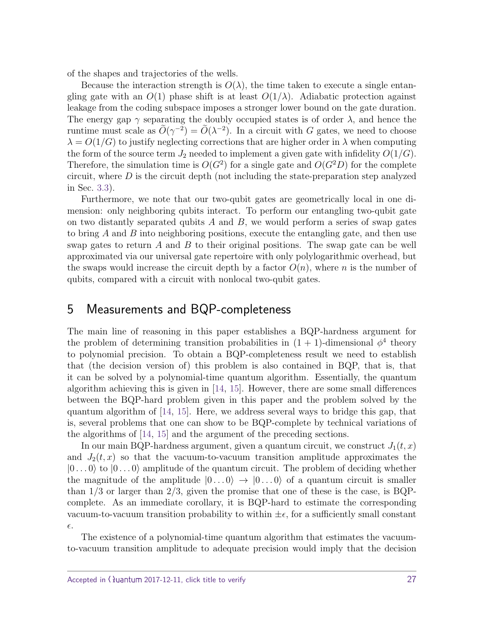of the shapes and trajectories of the wells.

Because the interaction strength is  $O(\lambda)$ , the time taken to execute a single entangling gate with an  $O(1)$  phase shift is at least  $O(1/\lambda)$ . Adiabatic protection against leakage from the coding subspace imposes a stronger lower bound on the gate duration. The energy gap  $\gamma$  separating the doubly occupied states is of order  $\lambda$ , and hence the runtime must scale as  $\tilde{O}(\gamma^{-2}) = \tilde{O}(\lambda^{-2})$ . In a circuit with *G* gates, we need to choose  $\lambda = O(1/G)$  to justify neglecting corrections that are higher order in  $\lambda$  when computing the form of the source term  $J_2$  needed to implement a given gate with infidelity  $O(1/G)$ . Therefore, the simulation time is  $O(G^2)$  for a single gate and  $O(G^2D)$  for the complete circuit, where *D* is the circuit depth (not including the state-preparation step analyzed in Sec. [3.3\)](#page-15-0).

Furthermore, we note that our two-qubit gates are geometrically local in one dimension: only neighboring qubits interact. To perform our entangling two-qubit gate on two distantly separated qubits *A* and *B*, we would perform a series of swap gates to bring *A* and *B* into neighboring positions, execute the entangling gate, and then use swap gates to return *A* and *B* to their original positions. The swap gate can be well approximated via our universal gate repertoire with only polylogarithmic overhead, but the swaps would increase the circuit depth by a factor  $O(n)$ , where *n* is the number of qubits, compared with a circuit with nonlocal two-qubit gates.

# <span id="page-26-0"></span>5 Measurements and BQP-completeness

The main line of reasoning in this paper establishes a BQP-hardness argument for the problem of determining transition probabilities in  $(1 + 1)$ -dimensional  $\phi^4$  theory to polynomial precision. To obtain a BQP-completeness result we need to establish that (the decision version of) this problem is also contained in BQP, that is, that it can be solved by a polynomial-time quantum algorithm. Essentially, the quantum algorithm achieving this is given in [\[14,](#page-39-0) [15\]](#page-39-2). However, there are some small differences between the BQP-hard problem given in this paper and the problem solved by the quantum algorithm of [\[14,](#page-39-0) [15\]](#page-39-2). Here, we address several ways to bridge this gap, that is, several problems that one can show to be BQP-complete by technical variations of the algorithms of [\[14,](#page-39-0) [15\]](#page-39-2) and the argument of the preceding sections.

In our main BQP-hardness argument, given a quantum circuit, we construct  $J_1(t, x)$ and  $J_2(t, x)$  so that the vacuum-to-vacuum transition amplitude approximates the  $|0...0\rangle$  to  $|0...0\rangle$  amplitude of the quantum circuit. The problem of deciding whether the magnitude of the amplitude  $|0...0\rangle \rightarrow |0...0\rangle$  of a quantum circuit is smaller than  $1/3$  or larger than  $2/3$ , given the promise that one of these is the case, is BQPcomplete. As an immediate corollary, it is BQP-hard to estimate the corresponding vacuum-to-vacuum transition probability to within  $\pm \epsilon$ , for a sufficiently small constant  $\epsilon.$ 

The existence of a polynomial-time quantum algorithm that estimates the vacuumto-vacuum transition amplitude to adequate precision would imply that the decision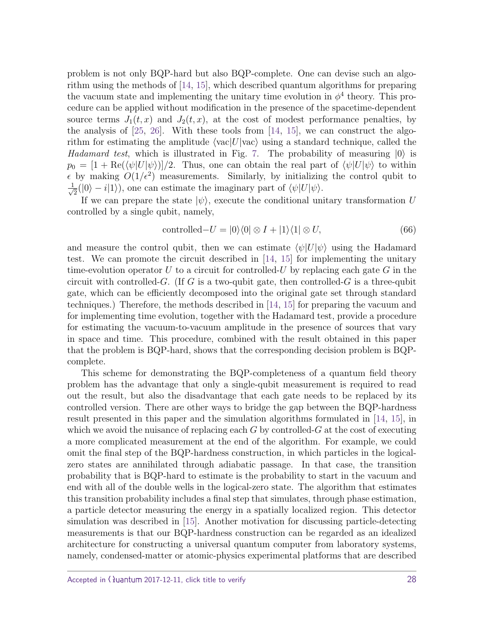problem is not only BQP-hard but also BQP-complete. One can devise such an algorithm using the methods of [\[14,](#page-39-0) [15\]](#page-39-2), which described quantum algorithms for preparing the vacuum state and implementing the unitary time evolution in  $\phi^4$  theory. This procedure can be applied without modification in the presence of the spacetime-dependent source terms  $J_1(t, x)$  and  $J_2(t, x)$ , at the cost of modest performance penalties, by the analysis of  $[25, 26]$  $[25, 26]$  $[25, 26]$ . With these tools from  $[14, 15]$  $[14, 15]$  $[14, 15]$ , we can construct the algorithm for estimating the amplitude  $\langle vac|U|\text{vac}\rangle$  using a standard technique, called the *Hadamard test*, which is illustrated in Fig. [7.](#page-28-0) The probability of measuring  $|0\rangle$  is  $p_0 = \left[1 + \text{Re}(\langle \psi | U | \psi \rangle)\right] / 2$ . Thus, one can obtain the real part of  $\langle \psi | U | \psi \rangle$  to within  $\epsilon$  by making  $O(1/\epsilon^2)$  measurements. Similarly, by initializing the control qubit to  $\frac{1}{\sqrt{2}}$  $\frac{1}{2}(|0\rangle - i|1\rangle)$ , one can estimate the imaginary part of  $\langle \psi | U | \psi \rangle$ .

If we can prepare the state  $|\psi\rangle$ , execute the conditional unitary transformation *U* controlled by a single qubit, namely,

$$
controlled - U = |0\rangle\langle 0| \otimes I + |1\rangle\langle 1| \otimes U,
$$
\n(66)

and measure the control qubit, then we can estimate  $\langle \psi | U | \psi \rangle$  using the Hadamard test. We can promote the circuit described in [\[14,](#page-39-0) [15\]](#page-39-2) for implementing the unitary time-evolution operator *U* to a circuit for controlled-*U* by replacing each gate *G* in the circuit with controlled-*G*. (If *G* is a two-qubit gate, then controlled-*G* is a three-qubit gate, which can be efficiently decomposed into the original gate set through standard techniques.) Therefore, the methods described in [\[14,](#page-39-0) [15\]](#page-39-2) for preparing the vacuum and for implementing time evolution, together with the Hadamard test, provide a procedure for estimating the vacuum-to-vacuum amplitude in the presence of sources that vary in space and time. This procedure, combined with the result obtained in this paper that the problem is BQP-hard, shows that the corresponding decision problem is BQPcomplete.

This scheme for demonstrating the BQP-completeness of a quantum field theory problem has the advantage that only a single-qubit measurement is required to read out the result, but also the disadvantage that each gate needs to be replaced by its controlled version. There are other ways to bridge the gap between the BQP-hardness result presented in this paper and the simulation algorithms formulated in [\[14,](#page-39-0) [15\]](#page-39-2), in which we avoid the nuisance of replacing each *G* by controlled-*G* at the cost of executing a more complicated measurement at the end of the algorithm. For example, we could omit the final step of the BQP-hardness construction, in which particles in the logicalzero states are annihilated through adiabatic passage. In that case, the transition probability that is BQP-hard to estimate is the probability to start in the vacuum and end with all of the double wells in the logical-zero state. The algorithm that estimates this transition probability includes a final step that simulates, through phase estimation, a particle detector measuring the energy in a spatially localized region. This detector simulation was described in [\[15\]](#page-39-2). Another motivation for discussing particle-detecting measurements is that our BQP-hardness construction can be regarded as an idealized architecture for constructing a universal quantum computer from laboratory systems, namely, condensed-matter or atomic-physics experimental platforms that are described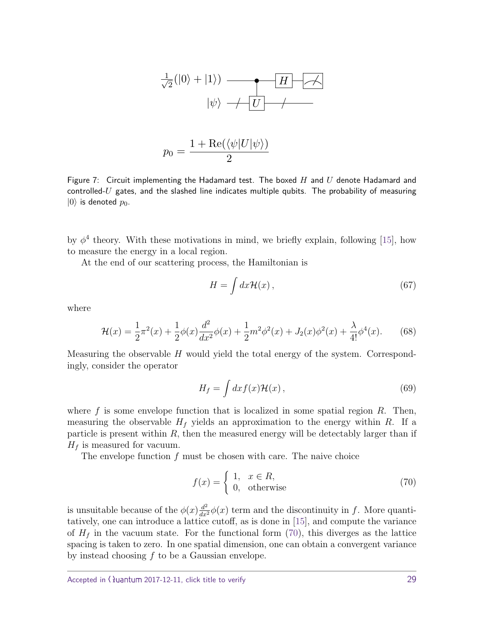

$$
p_0 = \frac{1 + \text{Re}(\langle \psi | U | \psi \rangle)}{2}
$$

<span id="page-28-0"></span>Figure 7: Circuit implementing the Hadamard test. The boxed *H* and *U* denote Hadamard and controlled-*U* gates, and the slashed line indicates multiple qubits. The probability of measuring  $|0\rangle$  is denoted  $p_0$ .

by  $\phi^4$  theory. With these motivations in mind, we briefly explain, following [\[15\]](#page-39-2), how to measure the energy in a local region.

At the end of our scattering process, the Hamiltonian is

$$
H = \int dx \mathcal{H}(x) , \qquad (67)
$$

where

$$
\mathcal{H}(x) = \frac{1}{2}\pi^2(x) + \frac{1}{2}\phi(x)\frac{d^2}{dx^2}\phi(x) + \frac{1}{2}m^2\phi^2(x) + J_2(x)\phi^2(x) + \frac{\lambda}{4!}\phi^4(x).
$$
 (68)

Measuring the observable *H* would yield the total energy of the system. Correspondingly, consider the operator

$$
H_f = \int dx f(x) \mathcal{H}(x) , \qquad (69)
$$

where *f* is some envelope function that is localized in some spatial region *R*. Then, measuring the observable  $H_f$  yields an approximation to the energy within  $R$ . If a particle is present within  $R$ , then the measured energy will be detectably larger than if  $H_f$  is measured for vacuum.

The envelope function *f* must be chosen with care. The naive choice

<span id="page-28-1"></span>
$$
f(x) = \begin{cases} 1, & x \in R, \\ 0, & \text{otherwise} \end{cases}
$$
 (70)

is unsuitable because of the  $\phi(x) \frac{d^2}{dx^2} \phi(x)$  term and the discontinuity in *f*. More quantitatively, one can introduce a lattice cutoff, as is done in [\[15\]](#page-39-2), and compute the variance of  $H_f$  in the vacuum state. For the functional form  $(70)$ , this diverges as the lattice spacing is taken to zero. In one spatial dimension, one can obtain a convergent variance by instead choosing *f* to be a Gaussian envelope.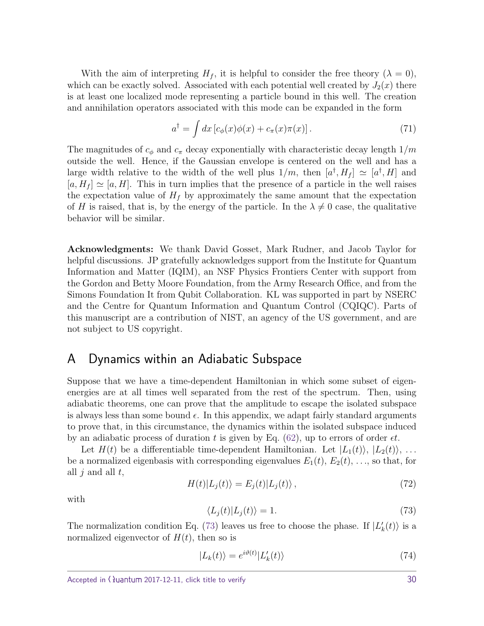With the aim of interpreting  $H_f$ , it is helpful to consider the free theory  $(\lambda = 0)$ , which can be exactly solved. Associated with each potential well created by  $J_2(x)$  there is at least one localized mode representing a particle bound in this well. The creation and annihilation operators associated with this mode can be expanded in the form

$$
a^{\dagger} = \int dx \left[ c_{\phi}(x) \phi(x) + c_{\pi}(x) \pi(x) \right]. \tag{71}
$$

The magnitudes of *c<sup>φ</sup>* and *c<sup>π</sup>* decay exponentially with characteristic decay length 1*/m* outside the well. Hence, if the Gaussian envelope is centered on the well and has a large width relative to the width of the well plus  $1/m$ , then  $[a^{\dagger}, H_f] \simeq [a^{\dagger}, H]$  and  $[a, H_f] \simeq [a, H]$ . This in turn implies that the presence of a particle in the well raises the expectation value of  $H_f$  by approximately the same amount that the expectation of *H* is raised, that is, by the energy of the particle. In the  $\lambda \neq 0$  case, the qualitative behavior will be similar.

Acknowledgments: We thank David Gosset, Mark Rudner, and Jacob Taylor for helpful discussions. JP gratefully acknowledges support from the Institute for Quantum Information and Matter (IQIM), an NSF Physics Frontiers Center with support from the Gordon and Betty Moore Foundation, from the Army Research Office, and from the Simons Foundation It from Qubit Collaboration. KL was supported in part by NSERC and the Centre for Quantum Information and Quantum Control (CQIQC). Parts of this manuscript are a contribution of NIST, an agency of the US government, and are not subject to US copyright.

## <span id="page-29-0"></span>A Dynamics within an Adiabatic Subspace

Suppose that we have a time-dependent Hamiltonian in which some subset of eigenenergies are at all times well separated from the rest of the spectrum. Then, using adiabatic theorems, one can prove that the amplitude to escape the isolated subspace is always less than some bound  $\epsilon$ . In this appendix, we adapt fairly standard arguments to prove that, in this circumstance, the dynamics within the isolated subspace induced by an adiabatic process of duration *t* is given by Eq. [\(62\)](#page-22-1), up to errors of order *t*.

Let  $H(t)$  be a differentiable time-dependent Hamiltonian. Let  $|L_1(t)\rangle, |L_2(t)\rangle, \ldots$ be a normalized eigenbasis with corresponding eigenvalues  $E_1(t)$ ,  $E_2(t)$ , ..., so that, for all *j* and all *t*,

<span id="page-29-3"></span>
$$
H(t)|L_j(t)\rangle = E_j(t)|L_j(t)\rangle, \qquad (72)
$$

<span id="page-29-1"></span>with

<span id="page-29-2"></span>
$$
\langle L_j(t)|L_j(t)\rangle = 1.\tag{73}
$$

The normalization condition Eq. [\(73\)](#page-29-1) leaves us free to choose the phase. If  $|L'_{k}(t)\rangle$  is a normalized eigenvector of  $H(t)$ , then so is

$$
|L_k(t)\rangle = e^{i\vartheta(t)}|L'_k(t)\rangle\tag{74}
$$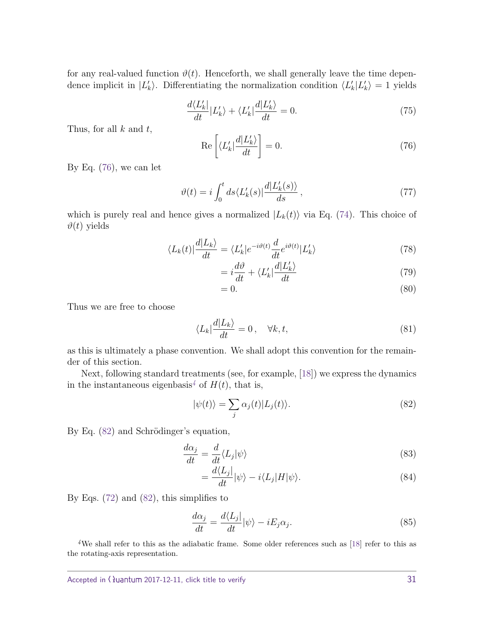for any real-valued function  $\vartheta(t)$ . Henceforth, we shall generally leave the time dependence implicit in  $|L'_k\rangle$ . Differentiating the normalization condition  $\langle L'_k|L'_k\rangle = 1$  yields

<span id="page-30-0"></span>
$$
\frac{d\langle L'_{k}|}{dt}|L'_{k}\rangle + \langle L'_{k}|\frac{d|L'_{k}\rangle}{dt} = 0.
$$
\n(75)

Thus, for all *k* and *t*,

$$
\operatorname{Re}\left[\langle L_k'|\frac{d|L_k'}{dt}\right] = 0.\tag{76}
$$

By Eq. [\(76\)](#page-30-0), we can let

$$
\vartheta(t) = i \int_0^t ds \langle L'_k(s) | \frac{d|L'_k(s)\rangle}{ds},\tag{77}
$$

which is purely real and hence gives a normalized  $|L_k(t)\rangle$  via Eq. [\(74\)](#page-29-2). This choice of  $\vartheta(t)$  yields

$$
\langle L_k(t)|\frac{d|L_k\rangle}{dt} = \langle L'_k|e^{-i\vartheta(t)}\frac{d}{dt}e^{i\vartheta(t)}|L'_k\rangle\tag{78}
$$

$$
=i\frac{d\vartheta}{dt} + \langle L_k' | \frac{d|L_k'}{dt} \tag{79}
$$

$$
=0.\t(80)
$$

Thus we are free to choose

<span id="page-30-3"></span>
$$
\langle L_k | \frac{d|L_k}{dt} = 0 \,, \quad \forall k, t,
$$
\n(81)

as this is ultimately a phase convention. We shall adopt this convention for the remainder of this section.

Next, following standard treatments (see, for example, [\[18\]](#page-39-13)) we express the dynamics in the instantaneous eigenbasis<sup>[4](#page-30-1)</sup> of  $H(t)$ , that is,

<span id="page-30-2"></span>
$$
|\psi(t)\rangle = \sum_{j} \alpha_j(t) |L_j(t)\rangle.
$$
 (82)

By Eq.  $(82)$  and Schrödinger's equation,

$$
\frac{d\alpha_j}{dt} = \frac{d}{dt} \langle L_j | \psi \rangle \tag{83}
$$

<span id="page-30-4"></span>
$$
=\frac{d\langle L_j|}{dt}|\psi\rangle - i\langle L_j|H|\psi\rangle.
$$
\n(84)

By Eqs. [\(72\)](#page-29-3) and [\(82\)](#page-30-2), this simplifies to

$$
\frac{d\alpha_j}{dt} = \frac{d\langle L_j|}{dt} |\psi\rangle - iE_j \alpha_j.
$$
\n(85)

<span id="page-30-1"></span>*<sup>4</sup>*We shall refer to this as the adiabatic frame. Some older references such as [\[18\]](#page-39-13) refer to this as the rotating-axis representation.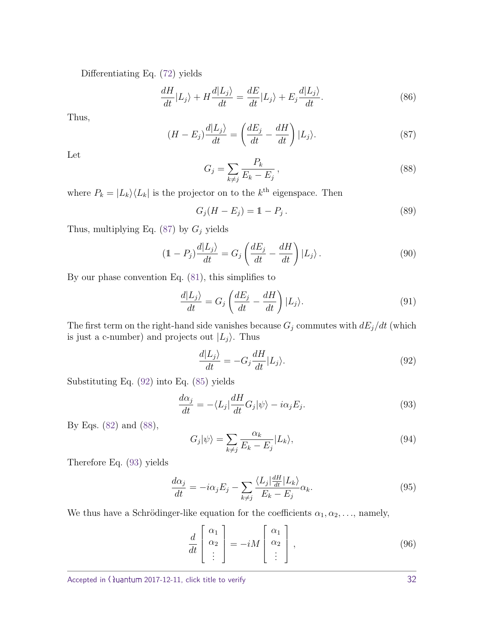Differentiating Eq. [\(72\)](#page-29-3) yields

$$
\frac{dH}{dt}|L_j\rangle + H\frac{d|L_j\rangle}{dt} = \frac{dE}{dt}|L_j\rangle + E_j\frac{d|L_j\rangle}{dt}.
$$
\n(86)

<span id="page-31-0"></span>Thus,

$$
(H - E_j) \frac{d|L_j\rangle}{dt} = \left(\frac{dE_j}{dt} - \frac{dH}{dt}\right)|L_j\rangle.
$$
\n(87)

<span id="page-31-2"></span>Let

$$
G_j = \sum_{k \neq j} \frac{P_k}{E_k - E_j},\tag{88}
$$

where  $P_k = |L_k\rangle\langle L_k|$  is the projector on to the  $k^{\text{th}}$  eigenspace. Then

$$
G_j(H - E_j) = 1 - P_j.
$$
\n(89)

Thus, multiplying Eq.  $(87)$  by  $G_j$  yields

$$
(1 - P_j) \frac{d|L_j\rangle}{dt} = G_j \left(\frac{dE_j}{dt} - \frac{dH}{dt}\right)|L_j\rangle.
$$
\n(90)

By our phase convention Eq. [\(81\)](#page-30-3), this simplifies to

$$
\frac{d|L_j\rangle}{dt} = G_j \left(\frac{dE_j}{dt} - \frac{dH}{dt}\right)|L_j\rangle.
$$
\n(91)

The first term on the right-hand side vanishes because  $G_j$  commutes with  $dE_j/dt$  (which is just a c-number) and projects out  $|L_j\rangle$ . Thus

<span id="page-31-3"></span><span id="page-31-1"></span>
$$
\frac{d|L_j\rangle}{dt} = -G_j \frac{dH}{dt}|L_j\rangle.
$$
\n(92)

Substituting Eq. [\(92\)](#page-31-1) into Eq. [\(85\)](#page-30-4) yields

$$
\frac{d\alpha_j}{dt} = -\langle L_j \vert \frac{dH}{dt} G_j \vert \psi \rangle - i\alpha_j E_j. \tag{93}
$$

By Eqs. [\(82\)](#page-30-2) and [\(88\)](#page-31-2),

$$
G_j|\psi\rangle = \sum_{k \neq j} \frac{\alpha_k}{E_k - E_j} |L_k\rangle, \tag{94}
$$

Therefore Eq. [\(93\)](#page-31-3) yields

$$
\frac{d\alpha_j}{dt} = -i\alpha_j E_j - \sum_{k \neq j} \frac{\langle L_j | \frac{dH}{dt} | L_k \rangle}{E_k - E_j} \alpha_k.
$$
\n(95)

We thus have a Schrödinger-like equation for the coefficients  $\alpha_1, \alpha_2, \ldots$ , namely,

<span id="page-31-4"></span>
$$
\frac{d}{dt} \begin{bmatrix} \alpha_1 \\ \alpha_2 \\ \vdots \end{bmatrix} = -iM \begin{bmatrix} \alpha_1 \\ \alpha_2 \\ \vdots \end{bmatrix}, \qquad (96)
$$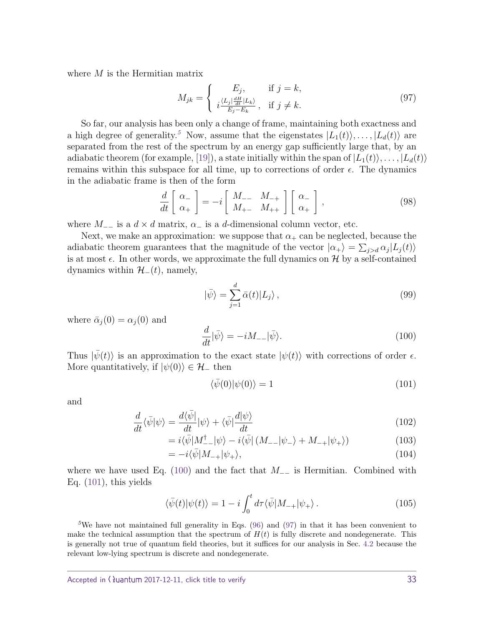where *M* is the Hermitian matrix

<span id="page-32-3"></span>
$$
M_{jk} = \begin{cases} E_j, & \text{if } j = k, \\ i \frac{\langle L_j | \frac{dH}{dt} | L_k \rangle}{E_j - E_k}, & \text{if } j \neq k. \end{cases} \tag{97}
$$

So far, our analysis has been only a change of frame, maintaining both exactness and a high degree of generality.<sup>[5](#page-32-0)</sup> Now, assume that the eigenstates  $|L_1(t)\rangle, \ldots, |L_d(t)\rangle$  are separated from the rest of the spectrum by an energy gap sufficiently large that, by an adiabatic theorem (for example, [\[19\]](#page-39-11)), a state initially within the span of  $|L_1(t)\rangle, \ldots, |L_d(t)\rangle$ remains within this subspace for all time, up to corrections of order  $\epsilon$ . The dynamics in the adiabatic frame is then of the form

$$
\frac{d}{dt} \begin{bmatrix} \alpha_- \\ \alpha_+ \end{bmatrix} = -i \begin{bmatrix} M_{--} & M_{-+} \\ M_{+-} & M_{++} \end{bmatrix} \begin{bmatrix} \alpha_- \\ \alpha_+ \end{bmatrix},
$$
\n(98)

where  $M_{-}$  is a  $d \times d$  matrix,  $\alpha$ <sub>−</sub> is a *d*-dimensional column vector, etc.

Next, we make an approximation: we suppose that  $\alpha_+$  can be neglected, because the adiabatic theorem guarantees that the magnitude of the vector  $|\alpha_{+}\rangle = \sum_{j>d} \alpha_{j} |L_{j}(t)\rangle$ is at most  $\epsilon$ . In other words, we approximate the full dynamics on H by a self-contained dynamics within  $\mathcal{H}_-(t)$ , namely,

$$
|\bar{\psi}\rangle = \sum_{j=1}^{d} \bar{\alpha}(t) |L_j\rangle, \qquad (99)
$$

where  $\bar{\alpha}_j(0) = \alpha_j(0)$  and

<span id="page-32-1"></span>
$$
\frac{d}{dt}|\bar{\psi}\rangle = -iM_{--}|\bar{\psi}\rangle. \tag{100}
$$

Thus  $|\psi(t)\rangle$  is an approximation to the exact state  $|\psi(t)\rangle$  with corrections of order  $\epsilon$ . More quantitatively, if  $|\psi(0)\rangle \in \mathcal{H}_-$  then

<span id="page-32-2"></span>
$$
\langle \bar{\psi}(0)|\psi(0)\rangle = 1\tag{101}
$$

and

$$
\frac{d}{dt}\langle \bar{\psi}|\psi\rangle = \frac{d\langle \bar{\psi}|\,}{dt}|\psi\rangle + \langle \bar{\psi}|\frac{d|\psi\rangle}{dt} \tag{102}
$$

$$
=i\langle\bar{\psi}|M_{--}^{\dagger}|\psi\rangle-i\langle\bar{\psi}|(M_{--}|\psi_{-}\rangle+M_{-+}|\psi_{+}\rangle)
$$
(103)

$$
= -i\langle \bar{\psi}|M_{-+}|\psi_{+}\rangle, \tag{104}
$$

where we have used Eq. [\(100\)](#page-32-1) and the fact that *M*−− is Hermitian. Combined with Eq. [\(101\)](#page-32-2), this yields

$$
\langle \bar{\psi}(t) | \psi(t) \rangle = 1 - i \int_0^t d\tau \langle \bar{\psi} | M_{-+} | \psi_+ \rangle . \tag{105}
$$

<span id="page-32-0"></span><sup>5</sup>We have not maintained full generality in Eqs. [\(96\)](#page-31-4) and [\(97\)](#page-32-3) in that it has been convenient to make the technical assumption that the spectrum of  $H(t)$  is fully discrete and nondegenerate. This is generally not true of quantum field theories, but it suffices for our analysis in Sec. [4.2](#page-21-0) because the relevant low-lying spectrum is discrete and nondegenerate.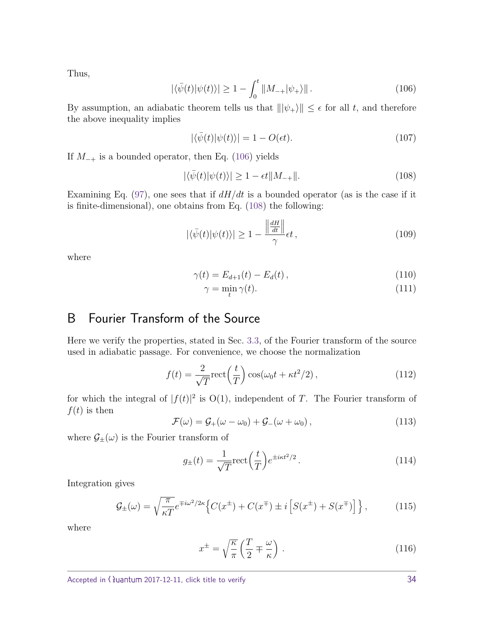<span id="page-33-1"></span>Thus,

$$
|\langle \bar{\psi}(t)|\psi(t)\rangle| \ge 1 - \int_0^t \|M_{-+}|\psi_{+}\rangle\|.
$$
 (106)

By assumption, an adiabatic theorem tells us that  $\|\psi_{+}\rangle\| \leq \epsilon$  for all *t*, and therefore the above inequality implies

<span id="page-33-2"></span>
$$
|\langle \bar{\psi}(t)|\psi(t)\rangle| = 1 - O(\epsilon t). \tag{107}
$$

If *M*<sup>−</sup><sup>+</sup> is a bounded operator, then Eq. [\(106\)](#page-33-1) yields

$$
|\langle \bar{\psi}(t)|\psi(t)\rangle| \ge 1 - \epsilon t \|M_{-+}\|.\tag{108}
$$

Examining Eq.  $(97)$ , one sees that if  $dH/dt$  is a bounded operator (as is the case if it is finite-dimensional), one obtains from Eq. [\(108\)](#page-33-2) the following:

$$
|\langle \bar{\psi}(t)|\psi(t)\rangle| \ge 1 - \frac{\left\|\frac{dH}{dt}\right\|}{\gamma} \epsilon t,
$$
\n(109)

where

$$
\gamma(t) = E_{d+1}(t) - E_d(t) \,, \tag{110}
$$

$$
\gamma = \min_{t} \gamma(t). \tag{111}
$$

# <span id="page-33-0"></span>B Fourier Transform of the Source

Here we verify the properties, stated in Sec. [3.3,](#page-15-0) of the Fourier transform of the source used in adiabatic passage. For convenience, we choose the normalization

$$
f(t) = \frac{2}{\sqrt{T}} \text{rect}\left(\frac{t}{T}\right) \cos(\omega_0 t + \kappa t^2 / 2),\tag{112}
$$

for which the integral of  $|f(t)|^2$  is  $O(1)$ , independent of *T*. The Fourier transform of  $f(t)$  is then

$$
\mathcal{F}(\omega) = \mathcal{G}_+(\omega - \omega_0) + \mathcal{G}_-(\omega + \omega_0), \qquad (113)
$$

where  $\mathcal{G}_{\pm}(\omega)$  is the Fourier transform of

$$
g_{\pm}(t) = \frac{1}{\sqrt{T}} \text{rect}\left(\frac{t}{T}\right) e^{\pm i\kappa t^2/2}.
$$
 (114)

Integration gives

$$
\mathcal{G}_{\pm}(\omega) = \sqrt{\frac{\pi}{\kappa T}} e^{\mp i\omega^2/2\kappa} \left\{ C(x^{\pm}) + C(x^{\mp}) \pm i \left[ S(x^{\pm}) + S(x^{\mp}) \right] \right\},\tag{115}
$$

where

$$
x^{\pm} = \sqrt{\frac{\kappa}{\pi}} \left( \frac{T}{2} \mp \frac{\omega}{\kappa} \right) . \tag{116}
$$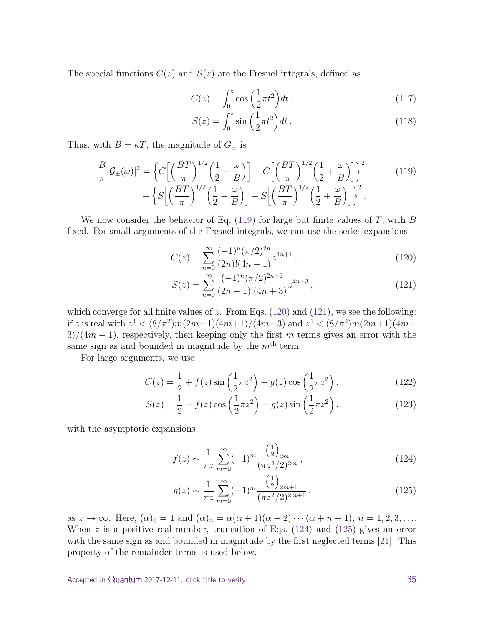The special functions  $C(z)$  and  $S(z)$  are the Fresnel integrals, defined as

$$
C(z) = \int_0^z \cos\left(\frac{1}{2}\pi t^2\right) dt\,,\tag{117}
$$

<span id="page-34-0"></span>
$$
S(z) = \int_0^z \sin\left(\frac{1}{2}\pi t^2\right) dt. \tag{118}
$$

Thus, with  $B = \kappa T$ , the magnitude of  $G_{\pm}$  is

$$
\frac{B}{\pi}|\mathcal{G}_{\pm}(\omega)|^2 = \left\{ C \left[ \left( \frac{BT}{\pi} \right)^{1/2} \left( \frac{1}{2} - \frac{\omega}{B} \right) \right] + C \left[ \left( \frac{BT}{\pi} \right)^{1/2} \left( \frac{1}{2} + \frac{\omega}{B} \right) \right] \right\}^2 + \left\{ S \left[ \left( \frac{BT}{\pi} \right)^{1/2} \left( \frac{1}{2} - \frac{\omega}{B} \right) \right] + S \left[ \left( \frac{BT}{\pi} \right)^{1/2} \left( \frac{1}{2} + \frac{\omega}{B} \right) \right] \right\}^2.
$$
\n(119)

We now consider the behavior of Eq. [\(119\)](#page-34-0) for large but finite values of *T*, with *B* fixed. For small arguments of the Fresnel integrals, we can use the series expansions

<span id="page-34-1"></span>
$$
C(z) = \sum_{n=0}^{\infty} \frac{(-1)^n (\pi/2)^{2n}}{(2n)!(4n+1)} z^{4n+1},
$$
\n(120)

<span id="page-34-2"></span>
$$
S(z) = \sum_{n=0}^{\infty} \frac{(-1)^n (\pi/2)^{2n+1}}{(2n+1)!(4n+3)} z^{4n+3},
$$
\n(121)

which converge for all finite values of  $z$ . From Eqs. [\(120\)](#page-34-1) and [\(121\)](#page-34-2), we see the following: if *z* is real with  $z^4 < (8/\pi^2)m(2m-1)(4m+1)/(4m-3)$  and  $z^4 < (8/\pi^2)m(2m+1)(4m+1)$ 3)*/*(4*m* − 1), respectively, then keeping only the first *m* terms gives an error with the same sign as and bounded in magnitude by the  $m<sup>th</sup>$  term.

For large arguments, we use

$$
C(z) = \frac{1}{2} + f(z)\sin\left(\frac{1}{2}\pi z^2\right) - g(z)\cos\left(\frac{1}{2}\pi z^2\right),\tag{122}
$$

$$
S(z) = \frac{1}{2} - f(z) \cos\left(\frac{1}{2}\pi z^2\right) - g(z) \sin\left(\frac{1}{2}\pi z^2\right),\tag{123}
$$

with the asymptotic expansions

<span id="page-34-3"></span>
$$
f(z) \sim \frac{1}{\pi z} \sum_{m=0}^{\infty} (-1)^m \frac{\left(\frac{1}{2}\right)_{2m}}{(\pi z^2/2)^{2m}},
$$
\n(124)

<span id="page-34-4"></span>
$$
g(z) \sim \frac{1}{\pi z} \sum_{m=0}^{\infty} (-1)^m \frac{\left(\frac{1}{2}\right)_{2m+1}}{(\pi z^2/2)^{2m+1}},
$$
\n(125)

as  $z \to \infty$ . Here,  $(\alpha)_0 = 1$  and  $(\alpha)_n = \alpha(\alpha+1)(\alpha+2)\cdots(\alpha+n-1), n = 1, 2, 3, \ldots$ When *z* is a positive real number, truncation of Eqs. [\(124\)](#page-34-3) and [\(125\)](#page-34-4) gives an error with the same sign as and bounded in magnitude by the first neglected terms [\[21\]](#page-39-14). This property of the remainder terms is used below.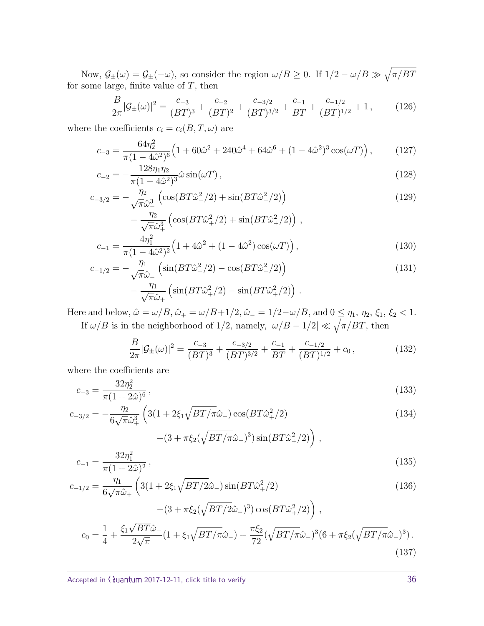Now,  $\mathcal{G}_{\pm}(\omega) = \mathcal{G}_{\pm}(-\omega)$ , so consider the region  $\omega/B \geq 0$ . If  $1/2 - \omega/B \gg \sqrt{\pi/BT}$ for some large, finite value of *T*, then

<span id="page-35-1"></span><span id="page-35-0"></span>
$$
\frac{B}{2\pi}|\mathcal{G}_{\pm}(\omega)|^2 = \frac{c_{-3}}{(BT)^3} + \frac{c_{-2}}{(BT)^2} + \frac{c_{-3/2}}{(BT)^{3/2}} + \frac{c_{-1}}{BT} + \frac{c_{-1/2}}{(BT)^{1/2}} + 1,\tag{126}
$$

where the coefficients  $c_i = c_i(B, T, \omega)$  are

$$
c_{-3} = \frac{64\eta_2^2}{\pi (1 - 4\hat{\omega}^2)^6} \left( 1 + 60\hat{\omega}^2 + 240\hat{\omega}^4 + 64\hat{\omega}^6 + (1 - 4\hat{\omega}^2)^3 \cos(\omega T) \right),\tag{127}
$$

$$
c_{-2} = -\frac{128\eta_1\eta_2}{\pi(1 - 4\hat{\omega}^2)^3} \hat{\omega} \sin(\omega T), \qquad (128)
$$

$$
c_{-3/2} = -\frac{\eta_2}{\sqrt{\pi \hat{\omega}_2^3}} \left( \cos(BT\hat{\omega}_-^2/2) + \sin(BT\hat{\omega}_-^2/2) \right)
$$
(129)

$$
-\frac{\eta_2}{\sqrt{\pi}\hat{\omega}_+^3} \left( \cos(BT\hat{\omega}_+^2/2) + \sin(BT\hat{\omega}_+^2/2) \right),
$$
  

$$
c_{-1} = \frac{4\eta_1^2}{\pi(1 - 4\hat{\omega}^2)^2} \left( 1 + 4\hat{\omega}^2 + (1 - 4\hat{\omega}^2) \cos(\omega T) \right),
$$
 (130)

$$
c_{-1/2} = -\frac{\eta_1}{\sqrt{\pi}\hat{\omega}_-} \left( \sin(BT\hat{\omega}_-^2/2) - \cos(BT\hat{\omega}_-^2/2) \right) -\frac{\eta_1}{\sqrt{\pi}\hat{\omega}_+} \left( \sin(BT\hat{\omega}_+^2/2) - \sin(BT\hat{\omega}_+^2/2) \right).
$$
 (131)

Here and below,  $\hat{\omega} = \omega/B$ ,  $\hat{\omega}_+ = \omega/B + 1/2$ ,  $\hat{\omega}_- = 1/2 - \omega/B$ , and  $0 \leq \eta_1, \eta_2, \xi_1, \xi_2 < 1$ . If  $\omega/B$  is in the neighborhood of 1/2, namely,  $|\omega/B - 1/2| \ll \sqrt{\pi/BT}$ , then

<span id="page-35-3"></span><span id="page-35-2"></span>
$$
\frac{B}{2\pi}|\mathcal{G}_{\pm}(\omega)|^2 = \frac{c_{-3}}{(BT)^3} + \frac{c_{-3/2}}{(BT)^{3/2}} + \frac{c_{-1}}{BT} + \frac{c_{-1/2}}{(BT)^{1/2}} + c_0,
$$
\n(132)

where the coefficients are

$$
c_{-3} = \frac{32\eta_2^2}{\pi (1 + 2\hat{\omega})^6},\tag{133}
$$

$$
c_{-3/2} = -\frac{\eta_2}{6\sqrt{\pi\hat{\omega}_+^3}} \left( 3(1 + 2\xi_1 \sqrt{BT/\pi\hat{\omega}_-}) \cos(BT\hat{\omega}_+^2/2) + (3 + \pi\xi_2(\sqrt{BT/\pi\hat{\omega}_-})^3) \sin(BT\hat{\omega}_+^2/2) \right),
$$
\n(134)

$$
c_{-1} = \frac{32\eta_1^2}{\pi (1 + 2\hat{\omega})^2},\tag{135}
$$

$$
c_{-1/2} = \frac{\eta_1}{6\sqrt{\pi}\hat{\omega}_+} \left( 3(1 + 2\xi_1 \sqrt{BT/2}\hat{\omega}_-) \sin(BT\hat{\omega}_+^2/2) - (3 + \pi\xi_2(\sqrt{BT/2}\hat{\omega}_-)^3) \cos(BT\hat{\omega}_+^2/2) \right) ,
$$
\n(136)

<span id="page-35-4"></span>
$$
c_0 = \frac{1}{4} + \frac{\xi_1 \sqrt{BT\hat{\omega}_{-}}}{2\sqrt{\pi}} \left(1 + \xi_1 \sqrt{BT/\pi \hat{\omega}_{-}}\right) + \frac{\pi \xi_2}{72} \left(\sqrt{BT/\pi \hat{\omega}_{-}}\right)^3 \left(6 + \pi \xi_2 \left(\sqrt{BT/\pi \hat{\omega}_{-}}\right)^3\right). \tag{137}
$$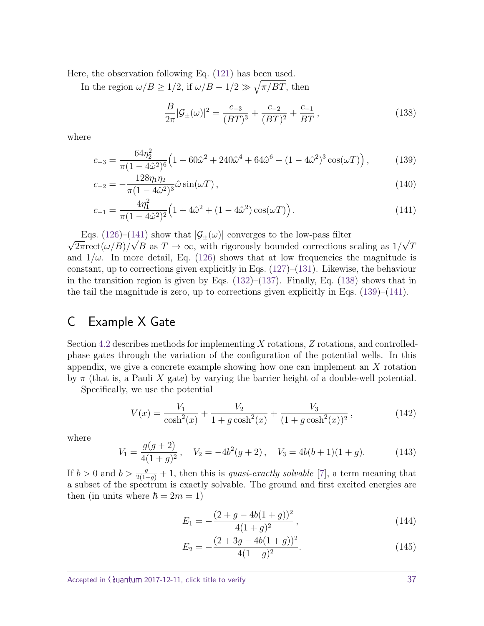Here, the observation following Eq. [\(121\)](#page-34-2) has been used.

In the region  $\omega/B \geq 1/2$ , if  $\omega/B - 1/2 \gg \sqrt{\pi/BT}$ , then

<span id="page-36-3"></span><span id="page-36-2"></span><span id="page-36-1"></span>
$$
\frac{B}{2\pi}|\mathcal{G}_{\pm}(\omega)|^2 = \frac{c_{-3}}{(BT)^3} + \frac{c_{-2}}{(BT)^2} + \frac{c_{-1}}{BT},\tag{138}
$$

where

$$
c_{-3} = \frac{64\eta_2^2}{\pi (1 - 4\hat{\omega}^2)^6} \left( 1 + 60\hat{\omega}^2 + 240\hat{\omega}^4 + 64\hat{\omega}^6 + (1 - 4\hat{\omega}^2)^3 \cos(\omega T) \right),\tag{139}
$$

$$
c_{-2} = -\frac{128\eta_1\eta_2}{\pi(1 - 4\hat{\omega}^2)^3} \hat{\omega} \sin(\omega T), \qquad (140)
$$

$$
c_{-1} = \frac{4\eta_1^2}{\pi (1 - 4\hat{\omega}^2)^2} \Big( 1 + 4\hat{\omega}^2 + (1 - 4\hat{\omega}^2) \cos(\omega T) \Big). \tag{141}
$$

√ Eqs. [\(126\)](#page-35-0)–[\(141\)](#page-36-1) show that  $|\mathcal{G}_{\pm}(\omega)|$  converges to the low-pass filter

 $2\pi \text{rect}(\omega/B)/\sqrt{B}$  as  $T \to \infty$ , with rigorously bounded corrections scaling as 1/ √ *T* and  $1/\omega$ . In more detail, Eq. [\(126\)](#page-35-0) shows that at low frequencies the magnitude is constant, up to corrections given explicitly in Eqs.  $(127)$ – $(131)$ . Likewise, the behaviour in the transition region is given by Eqs.  $(132)$ – $(137)$ . Finally, Eq.  $(138)$  shows that in the tail the magnitude is zero, up to corrections given explicitly in Eqs.  $(139)$ – $(141)$ .

## <span id="page-36-0"></span>C Example X Gate

Section [4.2](#page-21-0) describes methods for implementing *X* rotations, *Z* rotations, and controlledphase gates through the variation of the configuration of the potential wells. In this appendix, we give a concrete example showing how one can implement an *X* rotation by  $\pi$  (that is, a Pauli X gate) by varying the barrier height of a double-well potential.

Specifically, we use the potential

$$
V(x) = \frac{V_1}{\cosh^2(x)} + \frac{V_2}{1 + g\cosh^2(x)} + \frac{V_3}{(1 + g\cosh^2(x))^2},
$$
\n(142)

where

$$
V_1 = \frac{g(g+2)}{4(1+g)^2}, \quad V_2 = -4b^2(g+2), \quad V_3 = 4b(b+1)(1+g). \tag{143}
$$

If  $b > 0$  and  $b > \frac{g}{2(1+g)} + 1$ , then this is *quasi-exactly solvable* [\[7\]](#page-39-15), a term meaning that a subset of the spectrum is exactly solvable. The ground and first excited energies are then (in units where  $\hbar = 2m = 1$ )

$$
E_1 = -\frac{(2+g-4b(1+g))^2}{4(1+g)^2},
$$
\n(144)

$$
E_2 = -\frac{(2+3g-4b(1+g))^2}{4(1+g)^2}.
$$
\n(145)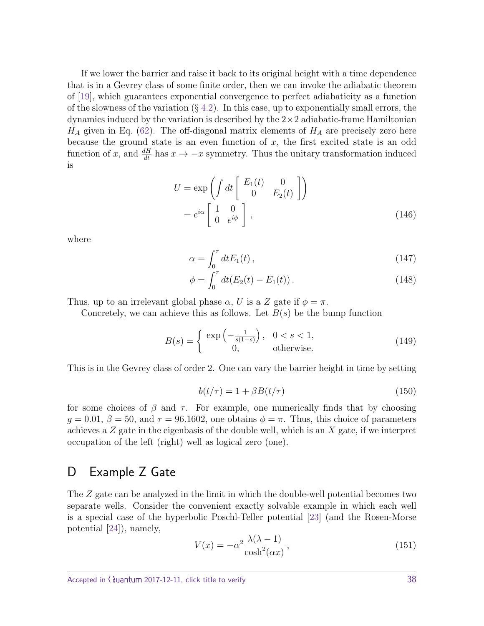If we lower the barrier and raise it back to its original height with a time dependence that is in a Gevrey class of some finite order, then we can invoke the adiabatic theorem of [\[19\]](#page-39-11), which guarantees exponential convergence to perfect adiabaticity as a function of the slowness of the variation  $(\S 4.2)$  $(\S 4.2)$ . In this case, up to exponentially small errors, the dynamics induced by the variation is described by the  $2\times 2$  adiabatic-frame Hamiltonian  $H_A$  given in Eq. [\(62\)](#page-22-1). The off-diagonal matrix elements of  $H_A$  are precisely zero here because the ground state is an even function of *x*, the first excited state is an odd function of *x*, and  $\frac{dH}{dt}$  has  $x \to -x$  symmetry. Thus the unitary transformation induced is

$$
U = \exp\left(\int dt \begin{bmatrix} E_1(t) & 0\\ 0 & E_2(t) \end{bmatrix}\right)
$$
  
=  $e^{i\alpha} \begin{bmatrix} 1 & 0\\ 0 & e^{i\phi} \end{bmatrix}$ , (146)

where

$$
\alpha = \int_0^\tau dt E_1(t) \,, \tag{147}
$$

<span id="page-37-1"></span>
$$
\phi = \int_0^{\tau} dt (E_2(t) - E_1(t)). \qquad (148)
$$

Thus, up to an irrelevant global phase  $\alpha$ , *U* is a *Z* gate if  $\phi = \pi$ .

Concretely, we can achieve this as follows. Let *B*(*s*) be the bump function

$$
B(s) = \begin{cases} \exp\left(-\frac{1}{s(1-s)}\right), & 0 < s < 1, \\ 0, & \text{otherwise.} \end{cases}
$$
 (149)

This is in the Gevrey class of order 2. One can vary the barrier height in time by setting

$$
b(t/\tau) = 1 + \beta B(t/\tau) \tag{150}
$$

for some choices of  $\beta$  and  $\tau$ . For example, one numerically finds that by choosing  $g = 0.01, \beta = 50$ , and  $\tau = 96.1602$ , one obtains  $\phi = \pi$ . Thus, this choice of parameters achieves a *Z* gate in the eigenbasis of the double well, which is an *X* gate, if we interpret occupation of the left (right) well as logical zero (one).

# <span id="page-37-0"></span>D Example Z Gate

The *Z* gate can be analyzed in the limit in which the double-well potential becomes two separate wells. Consider the convenient exactly solvable example in which each well is a special case of the hyperbolic Poschl-Teller potential [\[23\]](#page-40-3) (and the Rosen-Morse potential [\[24\]](#page-40-4)), namely,

$$
V(x) = -\alpha^2 \frac{\lambda(\lambda - 1)}{\cosh^2(\alpha x)},
$$
\n(151)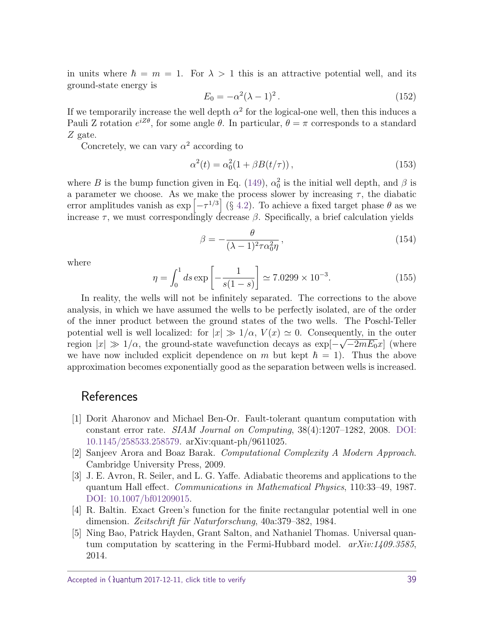in units where  $\hbar = m = 1$ . For  $\lambda > 1$  this is an attractive potential well, and its ground-state energy is

$$
E_0 = -\alpha^2 (\lambda - 1)^2. \tag{152}
$$

If we temporarily increase the well depth  $\alpha^2$  for the logical-one well, then this induces a Pauli Z rotation  $e^{iZ\theta}$ , for some angle  $\theta$ . In particular,  $\theta = \pi$  corresponds to a standard *Z* gate.

Concretely, we can vary  $\alpha^2$  according to

$$
\alpha^{2}(t) = \alpha_{0}^{2}(1 + \beta B(t/\tau)),
$$
\n(153)

where *B* is the bump function given in Eq. [\(149\)](#page-37-1),  $\alpha_0^2$  is the initial well depth, and  $\beta$  is a parameter we choose. As we make the process slower by increasing  $\tau$ , the diabatic error amplitudes vanish as  $\exp[-\tau^{1/3}]$  (§ [4.2\)](#page-21-0). To achieve a fixed target phase  $\theta$  as we increase  $\tau$ , we must correspondingly decrease  $\beta$ . Specifically, a brief calculation yields

$$
\beta = -\frac{\theta}{(\lambda - 1)^2 \tau \alpha_0^2 \eta},\qquad(154)
$$

where

$$
\eta = \int_0^1 ds \exp\left[-\frac{1}{s(1-s)}\right] \simeq 7.0299 \times 10^{-3}.\tag{155}
$$

In reality, the wells will not be infinitely separated. The corrections to the above analysis, in which we have assumed the wells to be perfectly isolated, are of the order of the inner product between the ground states of the two wells. The Poschl-Teller potential well is well localized: for  $|x| \gg 1/\alpha$ ,  $V(x) \simeq 0$ . Consequently, in the outer region  $|x| \gg 1/\alpha$ , the ground-state wavefunction decays as  $\exp[-\sqrt{-2mE_0}x]$  (where we have now included explicit dependence on *m* but kept  $h = 1$ . Thus the above approximation becomes exponentially good as the separation between wells is increased.

# **References**

- <span id="page-38-3"></span>[1] Dorit Aharonov and Michael Ben-Or. Fault-tolerant quantum computation with constant error rate. SIAM Journal on Computing, 38(4):1207–1282, 2008. [DOI:](https://doi.org/10.1145/258533.258579) [10.1145/258533.258579.](https://doi.org/10.1145/258533.258579) arXiv:quant-ph/9611025.
- <span id="page-38-0"></span>[2] Sanjeev Arora and Boaz Barak. Computational Complexity A Modern Approach. Cambridge University Press, 2009.
- <span id="page-38-4"></span>[3] J. E. Avron, R. Seiler, and L. G. Yaffe. Adiabatic theorems and applications to the quantum Hall effect. Communications in Mathematical Physics, 110:33–49, 1987. [DOI: 10.1007/bf01209015.](https://doi.org/10.1007/bf01209015)
- <span id="page-38-2"></span>[4] R. Baltin. Exact Green's function for the finite rectangular potential well in one dimension. Zeitschrift für Naturforschung, 40a:379–382, 1984.
- <span id="page-38-1"></span>[5] Ning Bao, Patrick Hayden, Grant Salton, and Nathaniel Thomas. Universal quantum computation by scattering in the Fermi-Hubbard model.  $arXiv:1409.3585$ , 2014.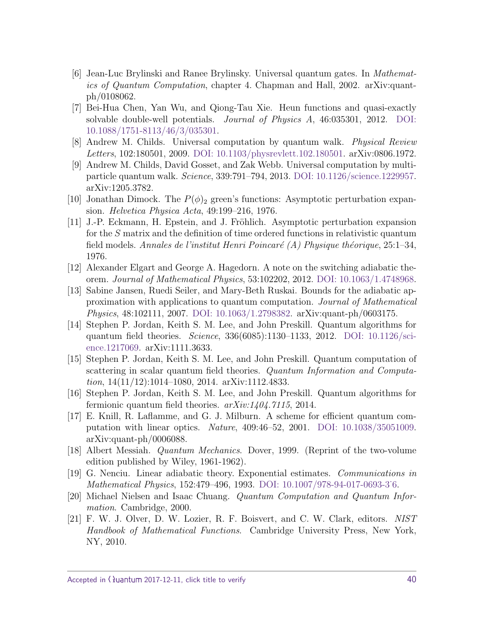- <span id="page-39-12"></span>[6] Jean-Luc Brylinski and Ranee Brylinsky. Universal quantum gates. In Mathematics of Quantum Computation, chapter 4. Chapman and Hall, 2002. arXiv:quantph/0108062.
- <span id="page-39-15"></span>[7] Bei-Hua Chen, Yan Wu, and Qiong-Tau Xie. Heun functions and quasi-exactly solvable double-well potentials. Journal of Physics A, 46:035301, 2012. [DOI:](https://doi.org/10.1088/1751-8113/46/3/035301) [10.1088/1751-8113/46/3/035301.](https://doi.org/10.1088/1751-8113/46/3/035301)
- <span id="page-39-3"></span>[8] Andrew M. Childs. Universal computation by quantum walk. Physical Review Letters, 102:180501, 2009. [DOI: 10.1103/physrevlett.102.180501.](https://doi.org/10.1103/physrevlett.102.180501) arXiv:0806.1972.
- <span id="page-39-4"></span>[9] Andrew M. Childs, David Gosset, and Zak Webb. Universal computation by multiparticle quantum walk. Science, 339:791–794, 2013. [DOI: 10.1126/science.1229957.](https://doi.org/10.1126/science.1229957) arXiv:1205.3782.
- <span id="page-39-6"></span>[10] Jonathan Dimock. The  $P(\phi)_2$  green's functions: Asymptotic perturbation expansion. Helvetica Physica Acta, 49:199–216, 1976.
- <span id="page-39-7"></span>[11] J.-P. Eckmann, H. Epstein, and J. Fröhlich. Asymptotic perturbation expansion for the *S* matrix and the definition of time ordered functions in relativistic quantum field models. Annales de l'institut Henri Poincaré (A) Physique théorique, 25:1–34, 1976.
- <span id="page-39-8"></span>[12] Alexander Elgart and George A. Hagedorn. A note on the switching adiabatic theorem. Journal of Mathematical Physics, 53:102202, 2012. [DOI: 10.1063/1.4748968.](https://doi.org/10.1063/1.4748968)
- <span id="page-39-9"></span>[13] Sabine Jansen, Ruedi Seiler, and Mary-Beth Ruskai. Bounds for the adiabatic approximation with applications to quantum computation. Journal of Mathematical Physics, 48:102111, 2007. [DOI: 10.1063/1.2798382.](https://doi.org/10.1063/1.2798382) arXiv:quant-ph/0603175.
- <span id="page-39-0"></span>[14] Stephen P. Jordan, Keith S. M. Lee, and John Preskill. Quantum algorithms for quantum field theories. Science, 336(6085):1130–1133, 2012. [DOI: 10.1126/sci](https://doi.org/10.1126/science.1217069)[ence.1217069.](https://doi.org/10.1126/science.1217069) arXiv:1111.3633.
- <span id="page-39-2"></span>[15] Stephen P. Jordan, Keith S. M. Lee, and John Preskill. Quantum computation of scattering in scalar quantum field theories. Quantum Information and Computation, 14(11/12):1014–1080, 2014. arXiv:1112.4833.
- <span id="page-39-1"></span>[16] Stephen P. Jordan, Keith S. M. Lee, and John Preskill. Quantum algorithms for fermionic quantum field theories.  $arXiv:1404.7115$ , 2014.
- <span id="page-39-5"></span>[17] E. Knill, R. Laflamme, and G. J. Milburn. A scheme for efficient quantum computation with linear optics. Nature, 409:46–52, 2001. [DOI: 10.1038/35051009.](https://doi.org/10.1038/35051009) arXiv:quant-ph/0006088.
- <span id="page-39-13"></span>[18] Albert Messiah. Quantum Mechanics. Dover, 1999. (Reprint of the two-volume edition published by Wiley, 1961-1962).
- <span id="page-39-11"></span>[19] G. Nenciu. Linear adiabatic theory. Exponential estimates. Communications in Mathematical Physics, 152:479–496, 1993. [DOI: 10.1007/978-94-017-0693-3˙6.](https://doi.org/10.1007/978-94-017-0693-3_6)
- <span id="page-39-10"></span>[20] Michael Nielsen and Isaac Chuang. Quantum Computation and Quantum Information. Cambridge, 2000.
- <span id="page-39-14"></span>[21] F. W. J. Olver, D. W. Lozier, R. F. Boisvert, and C. W. Clark, editors. NIST Handbook of Mathematical Functions. Cambridge University Press, New York, NY, 2010.